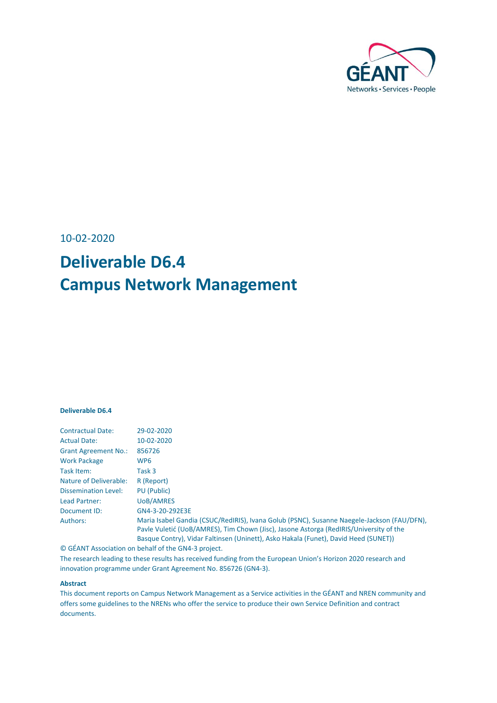

10-02-2020

# **Deliverable D6.4 Campus Network Management**

#### **Deliverable D6.4**

| <b>Contractual Date:</b>      | 29-02-2020                                                                                                                                                                           |
|-------------------------------|--------------------------------------------------------------------------------------------------------------------------------------------------------------------------------------|
| <b>Actual Date:</b>           | 10-02-2020                                                                                                                                                                           |
| <b>Grant Agreement No.:</b>   | 856726                                                                                                                                                                               |
| <b>Work Package</b>           | WP <sub>6</sub>                                                                                                                                                                      |
| Task Item:                    | Task 3                                                                                                                                                                               |
| <b>Nature of Deliverable:</b> | R (Report)                                                                                                                                                                           |
| <b>Dissemination Level:</b>   | PU (Public)                                                                                                                                                                          |
| Lead Partner:                 | <b>UoB/AMRES</b>                                                                                                                                                                     |
| Document ID:                  | GN4-3-20-292E3E                                                                                                                                                                      |
| Authors:                      | Maria Isabel Gandia (CSUC/RedIRIS), Ivana Golub (PSNC), Susanne Naegele-Jackson (FAU/DFN),<br>Pavle Vuletić (UoB/AMRES), Tim Chown (Jisc), Jasone Astorga (RedIRIS/University of the |
|                               | Basque Contry), Vidar Faltinsen (Uninett), Asko Hakala (Funet), David Heed (SUNET))                                                                                                  |

© GÉANT Association on behalf of the GN4-3 project.

The research leading to these results has received funding from the European Union's Horizon 2020 research and innovation programme under Grant Agreement No. 856726 (GN4-3).

#### **Abstract**

This document reports on Campus Network Management as a Service activities in the GÉANT and NREN community and offers some guidelines to the NRENs who offer the service to produce their own Service Definition and contract documents.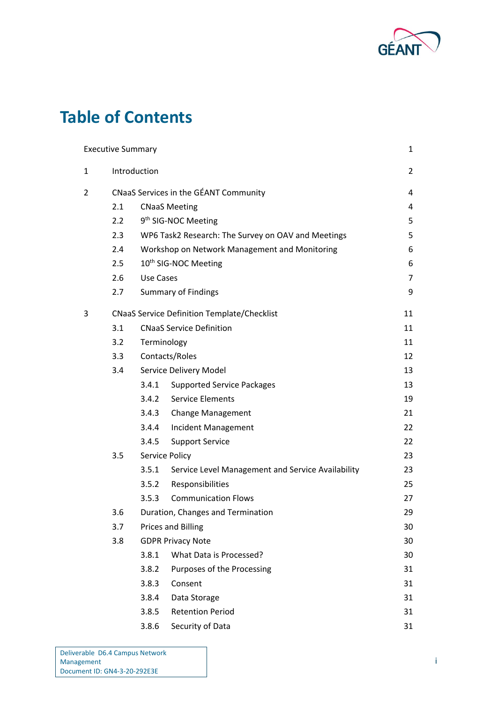

# **Table of Contents**

|              | <b>Executive Summary</b> |                                               |                                                    | 1              |  |  |
|--------------|--------------------------|-----------------------------------------------|----------------------------------------------------|----------------|--|--|
| $\mathbf{1}$ |                          | Introduction                                  |                                                    | $\overline{2}$ |  |  |
| 2            |                          |                                               | CNaaS Services in the GÉANT Community              | 4              |  |  |
|              | 2.1                      |                                               | <b>CNaaS Meeting</b>                               | 4              |  |  |
|              | 2.2                      |                                               | 9 <sup>th</sup> SIG-NOC Meeting                    | 5              |  |  |
|              | 2.3                      |                                               | WP6 Task2 Research: The Survey on OAV and Meetings | 5              |  |  |
|              | 2.4                      | Workshop on Network Management and Monitoring |                                                    |                |  |  |
|              | 2.5                      | 10 <sup>th</sup> SIG-NOC Meeting              |                                                    |                |  |  |
|              | 2.6                      | Use Cases                                     |                                                    |                |  |  |
|              | 2.7                      | <b>Summary of Findings</b>                    |                                                    |                |  |  |
| 3            |                          |                                               | <b>CNaaS Service Definition Template/Checklist</b> | 11             |  |  |
|              | 3.1                      |                                               | <b>CNaaS Service Definition</b>                    | 11             |  |  |
|              | 3.2                      | Terminology                                   |                                                    | 11             |  |  |
|              | 3.3                      | Contacts/Roles                                |                                                    |                |  |  |
|              | 3.4                      |                                               | Service Delivery Model                             | 13             |  |  |
|              |                          | 3.4.1                                         | <b>Supported Service Packages</b>                  | 13             |  |  |
|              |                          | 3.4.2                                         | <b>Service Elements</b>                            | 19             |  |  |
|              |                          | 3.4.3                                         | <b>Change Management</b>                           | 21             |  |  |
|              |                          | 3.4.4                                         | <b>Incident Management</b>                         | 22             |  |  |
|              |                          | 3.4.5                                         | <b>Support Service</b>                             | 22             |  |  |
|              | 3.5                      |                                               | Service Policy                                     | 23             |  |  |
|              |                          | 3.5.1                                         | Service Level Management and Service Availability  | 23             |  |  |
|              |                          | 3.5.2                                         | Responsibilities                                   | 25             |  |  |
|              |                          | 3.5.3                                         | <b>Communication Flows</b>                         | 27             |  |  |
|              | 3.6                      |                                               | Duration, Changes and Termination                  | 29             |  |  |
|              | 3.7                      |                                               | <b>Prices and Billing</b>                          | 30             |  |  |
|              | 3.8                      |                                               | <b>GDPR Privacy Note</b>                           | 30             |  |  |
|              |                          | 3.8.1                                         | What Data is Processed?                            | 30             |  |  |
|              |                          | 3.8.2                                         | Purposes of the Processing                         | 31             |  |  |
|              |                          | 3.8.3                                         | Consent                                            | 31             |  |  |
|              |                          | 3.8.4                                         | Data Storage                                       | 31             |  |  |
|              |                          | 3.8.5                                         | <b>Retention Period</b>                            | 31             |  |  |
|              |                          | 3.8.6                                         | Security of Data                                   | 31             |  |  |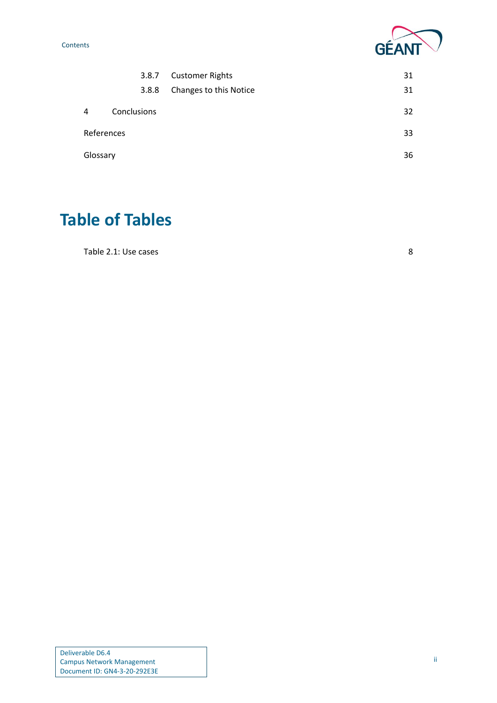**Contents** 



| 3.8.7      |             | <b>Customer Rights</b> | 31 |
|------------|-------------|------------------------|----|
|            | 3.8.8       | Changes to this Notice | 31 |
| 4          | Conclusions |                        | 32 |
| References |             | 33                     |    |
| Glossary   |             |                        | 36 |

# **Table of Tables**

[Table 2.1: Use cases](#page-10-0) 8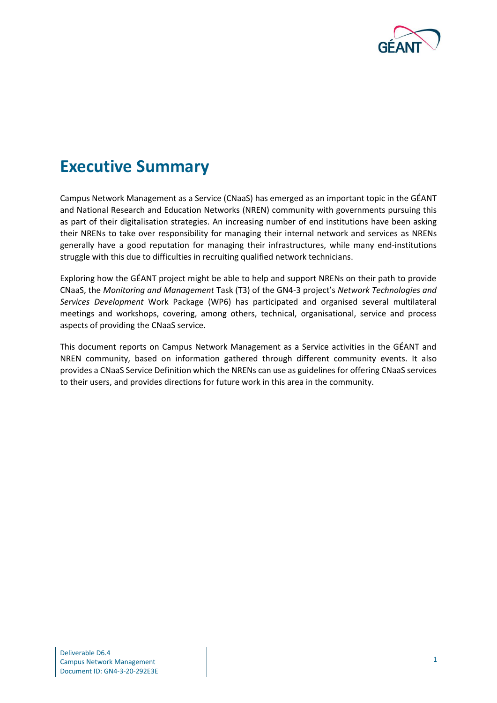

# <span id="page-3-0"></span>**Executive Summary**

Campus Network Management as a Service (CNaaS) has emerged as an important topic in the GÉANT and National Research and Education Networks (NREN) community with governments pursuing this as part of their digitalisation strategies. An increasing number of end institutions have been asking their NRENs to take over responsibility for managing their internal network and services as NRENs generally have a good reputation for managing their infrastructures, while many end-institutions struggle with this due to difficulties in recruiting qualified network technicians.

Exploring how the GÉANT project might be able to help and support NRENs on their path to provide CNaaS, the *Monitoring and Management* Task (T3) of the GN4-3 project's *Network Technologies and Services Development* Work Package (WP6) has participated and organised several multilateral meetings and workshops, covering, among others, technical, organisational, service and process aspects of providing the CNaaS service.

This document reports on Campus Network Management as a Service activities in the GÉANT and NREN community, based on information gathered through different community events. It also provides a CNaaS Service Definition which the NRENs can use as guidelines for offering CNaaS services to their users, and provides directions for future work in this area in the community.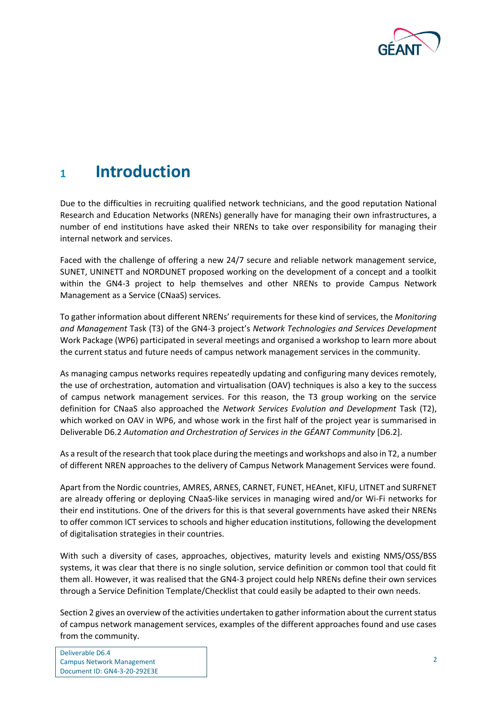

# <span id="page-4-0"></span>**<sup>1</sup> Introduction**

Due to the difficulties in recruiting qualified network technicians, and the good reputation National Research and Education Networks (NRENs) generally have for managing their own infrastructures, a number of end institutions have asked their NRENs to take over responsibility for managing their internal network and services.

Faced with the challenge of offering a new 24/7 secure and reliable network management service, SUNET, UNINETT and NORDUNET proposed working on the development of a concept and a toolkit within the GN4-3 project to help themselves and other NRENs to provide Campus Network Management as a Service (CNaaS) services.

To gather information about different NRENs' requirements for these kind of services, the *Monitoring and Management* Task (T3) of the GN4-3 project's *Network Technologies and Services Development* Work Package (WP6) participated in several meetings and organised a workshop to learn more about the current status and future needs of campus network management services in the community.

As managing campus networks requires repeatedly updating and configuring many devices remotely, the use of orchestration, automation and virtualisation (OAV) techniques is also a key to the success of campus network management services. For this reason, the T3 group working on the service definition for CNaaS also approached the *Network Services Evolution and Development* Task (T2), which worked on OAV in WP6, and whose work in the first half of the project year is summarised in Deliverable D6.2 *Automation and Orchestration of Services in the GÉANT Community* [D6.2].

As a result of the research that took place during the meetings and workshops and also in T2, a number of different NREN approaches to the delivery of Campus Network Management Services were found.

Apart from the Nordic countries, AMRES, ARNES, CARNET, FUNET, HEAnet, KIFU, LITNET and SURFNET are already offering or deploying CNaaS-like services in managing wired and/or Wi-Fi networks for their end institutions. One of the drivers for this is that several governments have asked their NRENs to offer common ICT services to schools and higher education institutions, following the development of digitalisation strategies in their countries.

With such a diversity of cases, approaches, objectives, maturity levels and existing NMS/OSS/BSS systems, it was clear that there is no single solution, service definition or common tool that could fit them all. However, it was realised that the GN4-3 project could help NRENs define their own services through a Service Definition Template/Checklist that could easily be adapted to their own needs.

Section [2](#page-6-0) gives an overview of the activities undertaken to gather information about the current status of campus network management services, examples of the different approaches found and use cases from the community.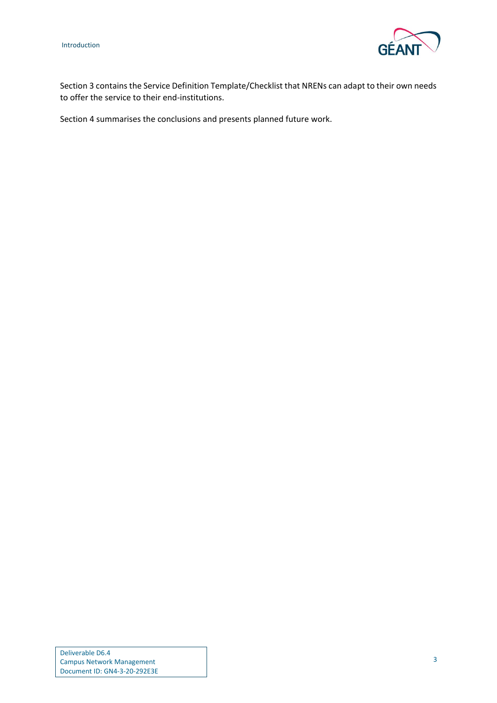

Section [3](#page-13-0) contains the Service Definition Template/Checklist that NRENs can adapt to their own needs to offer the service to their end-institutions.

Section [4](#page-34-0) summarises the conclusions and presents planned future work.

Deliverable D6.4 Campus Network Management Document ID: GN4-3-20-292E3E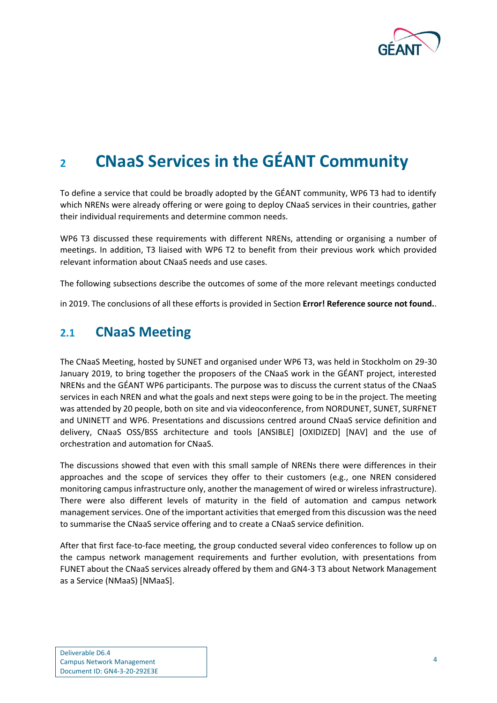<span id="page-6-1"></span>

# <span id="page-6-0"></span>**<sup>2</sup> CNaaS Services in the GÉANT Community**

To define a service that could be broadly adopted by the GÉANT community, WP6 T3 had to identify which NRENs were already offering or were going to deploy CNaaS services in their countries, gather their individual requirements and determine common needs.

WP6 T3 discussed these requirements with different NRENs, attending or organising a number of meetings. In addition, T3 liaised with WP6 T2 to benefit from their previous work which provided relevant information about CNaaS needs and use cases.

The following subsections describe the outcomes of some of the more relevant meetings conducted

in 2019. The conclusions of all these efforts is provided in Section **Error! Reference source not found.**.

## **2.1 CNaaS Meeting**

The CNaaS Meeting, hosted by SUNET and organised under WP6 T3, was held in Stockholm on 29-30 January 2019, to bring together the proposers of the CNaaS work in the GÉANT project, interested NRENs and the GÉANT WP6 participants. The purpose was to discuss the current status of the CNaaS services in each NREN and what the goals and next steps were going to be in the project. The meeting was attended by 20 people, both on site and via videoconference, from NORDUNET, SUNET, SURFNET and UNINETT and WP6. Presentations and discussions centred around CNaaS service definition and delivery, CNaaS OSS/BSS architecture and tools [ANSIBLE] [OXIDIZED] [NAV] and the use of orchestration and automation for CNaaS.

The discussions showed that even with this small sample of NRENs there were differences in their approaches and the scope of services they offer to their customers (e.g., one NREN considered monitoring campus infrastructure only, another the management of wired or wireless infrastructure). There were also different levels of maturity in the field of automation and campus network management services. One of the important activities that emerged from this discussion was the need to summarise the CNaaS service offering and to create a CNaaS service definition.

After that first face-to-face meeting, the group conducted several video conferences to follow up on the campus network management requirements and further evolution, with presentations from FUNET about the CNaaS services already offered by them and GN4-3 T3 about Network Management as a Service (NMaaS) [NMaaS].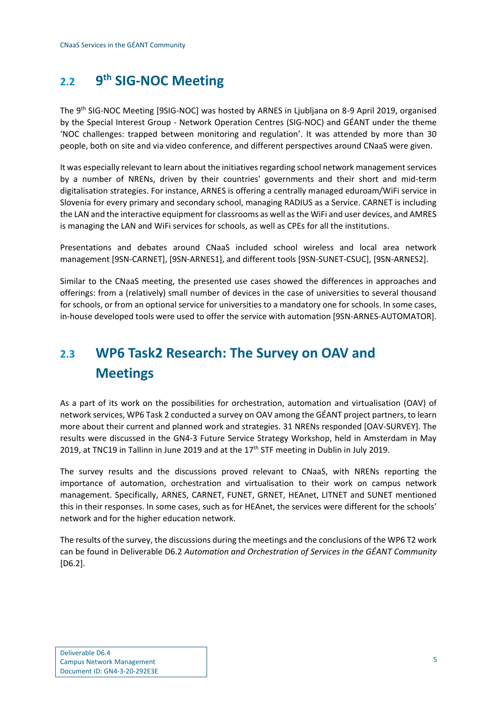#### <span id="page-7-0"></span> $2.2<sup>°</sup>$ **th SIG-NOC Meeting**

The 9th SIG-NOC Meeting [9SIG-NOC] was hosted by ARNES in Ljubljana on 8-9 April 2019, organised by the Special Interest Group - Network Operation Centres (SIG-NOC) and GÉANT under the theme 'NOC challenges: trapped between monitoring and regulation'. It was attended by more than 30 people, both on site and via video conference, and different perspectives around CNaaS were given.

It was especially relevant to learn about the initiatives regarding school network management services by a number of NRENs, driven by their countries' governments and their short and mid-term digitalisation strategies. For instance, ARNES is offering a centrally managed eduroam/WiFi service in Slovenia for every primary and secondary school, managing RADIUS as a Service. CARNET is including the LAN and the interactive equipment for classrooms as well as the WiFi and user devices, and AMRES is managing the LAN and WiFi services for schools, as well as CPEs for all the institutions.

Presentations and debates around CNaaS included school wireless and local area network management [9SN-CARNET], [9SN-ARNES1], and different tools [9SN-SUNET-CSUC], [9SN-ARNES2].

Similar to the CNaaS meeting, the presented use cases showed the differences in approaches and offerings: from a (relatively) small number of devices in the case of universities to several thousand for schools, or from an optional service for universities to a mandatory one for schools. In some cases, in-house developed tools were used to offer the service with automation [9SN-ARNES-AUTOMATOR].

# <span id="page-7-1"></span>**2.3 WP6 Task2 Research: The Survey on OAV and Meetings**

As a part of its work on the possibilities for orchestration, automation and virtualisation (OAV) of network services, WP6 Task 2 conducted a survey on OAV among the GÉANT project partners, to learn more about their current and planned work and strategies. 31 NRENs responded [OAV-SURVEY]. The results were discussed in the GN4-3 Future Service Strategy Workshop, held in Amsterdam in May 2019, at TNC19 in Tallinn in June 2019 and at the  $17<sup>th</sup>$  STF meeting in Dublin in July 2019.

The survey results and the discussions proved relevant to CNaaS, with NRENs reporting the importance of automation, orchestration and virtualisation to their work on campus network management. Specifically, ARNES, CARNET, FUNET, GRNET, HEAnet, LITNET and SUNET mentioned this in their responses. In some cases, such as for HEAnet, the services were different for the schools' network and for the higher education network.

The results of the survey, the discussions during the meetings and the conclusions of the WP6 T2 work can be found in Deliverable D6.2 *Automation and Orchestration of Services in the GÉANT Community* [D6.2].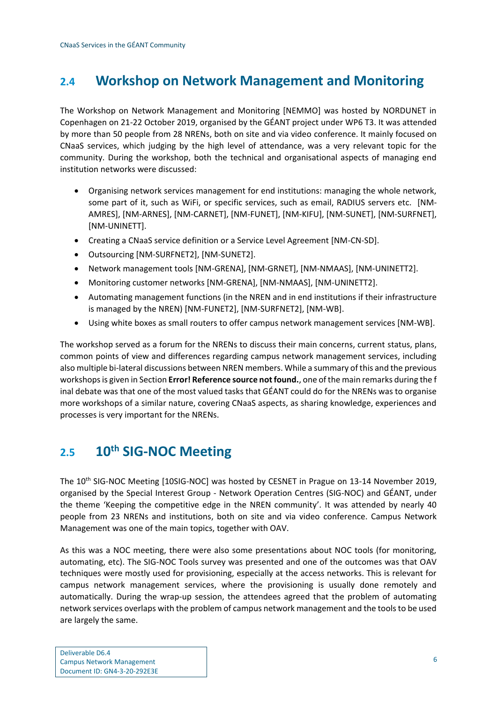# <span id="page-8-0"></span>**2.4 Workshop on Network Management and Monitoring**

The Workshop on Network Management and Monitoring [NEMMO] was hosted by NORDUNET in Copenhagen on 21-22 October 2019, organised by the GÉANT project under WP6 T3. It was attended by more than 50 people from 28 NRENs, both on site and via video conference. It mainly focused on CNaaS services, which judging by the high level of attendance, was a very relevant topic for the community. During the workshop, both the technical and organisational aspects of managing end institution networks were discussed:

- Organising network services management for end institutions: managing the whole network, some part of it, such as WiFi, or specific services, such as email, RADIUS servers etc. [NM-AMRES], [NM-ARNES], [NM-CARNET], [NM-FUNET], [NM-KIFU], [NM-SUNET], [NM-SURFNET], [NM-UNINETT].
- Creating a CNaaS service definition or a Service Level Agreement [NM-CN-SD].
- Outsourcing [NM-SURFNET2], [NM-SUNET2].
- Network management tools [NM-GRENA], [NM-GRNET], [NM-NMAAS], [NM-UNINETT2].
- Monitoring customer networks [NM-GRENA], [NM-NMAAS], [NM-UNINETT2].
- Automating management functions (in the NREN and in end institutions if their infrastructure is managed by the NREN) [NM-FUNET2], [NM-SURFNET2], [NM-WB].
- Using white boxes as small routers to offer campus network management services [NM-WB].

The workshop served as a forum for the NRENs to discuss their main concerns, current status, plans, common points of view and differences regarding campus network management services, including also multiple bi-lateral discussions between NREN members. While a summary of this and the previous workshops is given in Section **Error! Reference source not found.**, one of the main remarks during the f inal debate was that one of the most valued tasks that GÉANT could do for the NRENs was to organise more workshops of a similar nature, covering CNaaS aspects, as sharing knowledge, experiences and processes is very important for the NRENs.

# <span id="page-8-1"></span>**2.5 10th SIG-NOC Meeting**

The 10th SIG-NOC Meeting [10SIG-NOC] was hosted by CESNET in Prague on 13-14 November 2019, organised by the Special Interest Group - Network Operation Centres (SIG-NOC) and GÉANT, under the theme 'Keeping the competitive edge in the NREN community'. It was attended by nearly 40 people from 23 NRENs and institutions, both on site and via video conference. Campus Network Management was one of the main topics, together with OAV.

As this was a NOC meeting, there were also some presentations about NOC tools (for monitoring, automating, etc). The SIG-NOC Tools survey was presented and one of the outcomes was that OAV techniques were mostly used for provisioning, especially at the access networks. This is relevant for campus network management services, where the provisioning is usually done remotely and automatically. During the wrap-up session, the attendees agreed that the problem of automating network services overlaps with the problem of campus network management and the tools to be used are largely the same.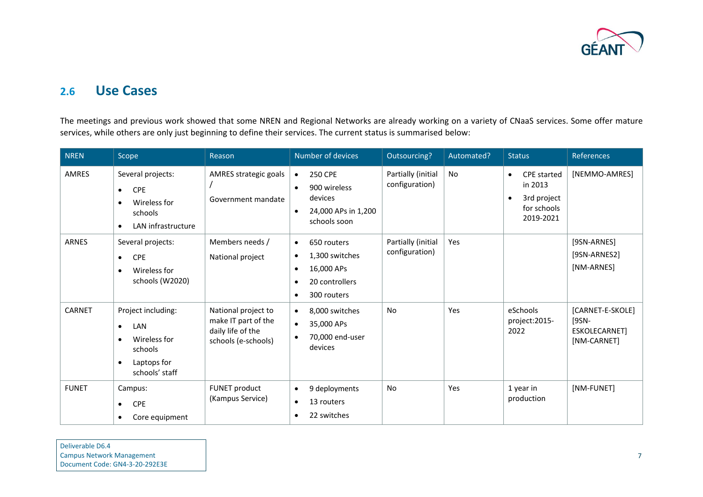

## **2.6 Use Cases**

The meetings and previous work showed that some NREN and Regional Networks are already working on a variety of CNaaS services. Some offer mature services, while others are only just beginning to define their services. The current status is summarised below:

<span id="page-9-0"></span>

| <b>NREN</b>   | Scope                                                                                                                        | Reason                                                                                 | Number of devices                                                                                                                     | Outsourcing?                         | Automated? | <b>Status</b>                                                                                      | References                                                |
|---------------|------------------------------------------------------------------------------------------------------------------------------|----------------------------------------------------------------------------------------|---------------------------------------------------------------------------------------------------------------------------------------|--------------------------------------|------------|----------------------------------------------------------------------------------------------------|-----------------------------------------------------------|
| AMRES         | Several projects:<br><b>CPE</b><br>$\bullet$<br>Wireless for<br>$\bullet$<br>schools<br>LAN infrastructure<br>$\bullet$      | AMRES strategic goals<br>Government mandate                                            | <b>250 CPE</b><br>$\bullet$<br>900 wireless<br>$\bullet$<br>devices<br>24,000 APs in 1,200<br>$\bullet$<br>schools soon               | Partially (initial<br>configuration) | <b>No</b>  | <b>CPE</b> started<br>$\bullet$<br>in 2013<br>3rd project<br>$\bullet$<br>for schools<br>2019-2021 | [NEMMO-AMRES]                                             |
| <b>ARNES</b>  | Several projects:<br><b>CPE</b><br>$\bullet$<br>Wireless for<br>$\bullet$<br>schools (W2020)                                 | Members needs /<br>National project                                                    | 650 routers<br>$\bullet$<br>1,300 switches<br>$\bullet$<br>16,000 APs<br>$\bullet$<br>20 controllers<br>٠<br>300 routers<br>$\bullet$ | Partially (initial<br>configuration) | Yes        |                                                                                                    | [9SN-ARNES]<br>[9SN-ARNES2]<br>[NM-ARNES]                 |
| <b>CARNET</b> | Project including:<br>LAN<br>$\bullet$<br>Wireless for<br>$\bullet$<br>schools<br>Laptops for<br>$\bullet$<br>schools' staff | National project to<br>make IT part of the<br>daily life of the<br>schools (e-schools) | 8,000 switches<br>$\bullet$<br>35,000 APs<br>$\bullet$<br>70,000 end-user<br>$\bullet$<br>devices                                     | No                                   | Yes        | eSchools<br>project:2015-<br>2022                                                                  | [CARNET-E-SKOLE]<br>[9SN-<br>ESKOLECARNET]<br>[NM-CARNET] |
| <b>FUNET</b>  | Campus:<br><b>CPE</b><br>$\bullet$<br>Core equipment<br>$\bullet$                                                            | FUNET product<br>(Kampus Service)                                                      | 9 deployments<br>$\bullet$<br>13 routers<br>$\bullet$<br>22 switches<br>$\bullet$                                                     | <b>No</b>                            | Yes        | 1 year in<br>production                                                                            | [NM-FUNET]                                                |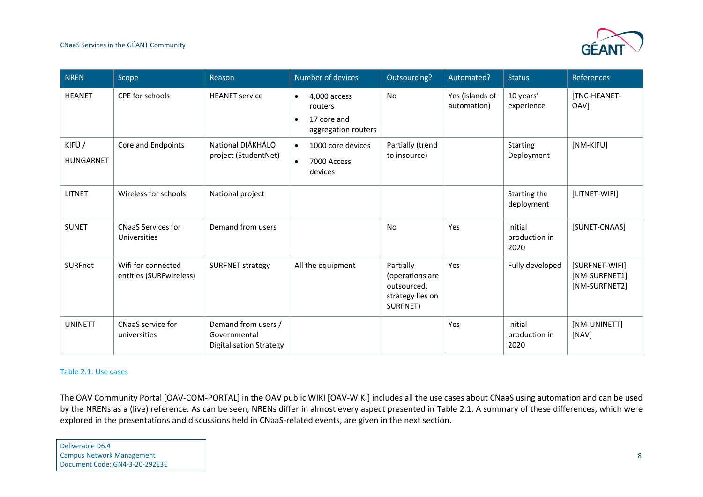#### CNaaS Services in the GÉANT Community



| <b>NREN</b>               | Scope                                         | Reason                                                         | Number of devices                                                                       | Outsourcing?                                                                | Automated?                     | <b>Status</b>                    | <b>References</b>                                |
|---------------------------|-----------------------------------------------|----------------------------------------------------------------|-----------------------------------------------------------------------------------------|-----------------------------------------------------------------------------|--------------------------------|----------------------------------|--------------------------------------------------|
| <b>HEANET</b>             | CPE for schools                               | <b>HEANET</b> service                                          | 4,000 access<br>$\bullet$<br>routers<br>17 core and<br>$\bullet$<br>aggregation routers | No                                                                          | Yes (islands of<br>automation) | 10 years'<br>experience          | <b>[TNC-HEANET-</b><br>OAV]                      |
| KIFÜ/<br><b>HUNGARNET</b> | Core and Endpoints                            | National DIÁKHÁLÓ<br>project (StudentNet)                      | 1000 core devices<br>$\bullet$<br>7000 Access<br>$\bullet$<br>devices                   | Partially (trend<br>to insource)                                            |                                | <b>Starting</b><br>Deployment    | [NM-KIFU]                                        |
| <b>LITNET</b>             | Wireless for schools                          | National project                                               |                                                                                         |                                                                             |                                | Starting the<br>deployment       | [LITNET-WIFI]                                    |
| <b>SUNET</b>              | <b>CNaaS Services for</b><br>Universities     | Demand from users                                              |                                                                                         | No                                                                          | Yes                            | Initial<br>production in<br>2020 | [SUNET-CNAAS]                                    |
| <b>SURFnet</b>            | Wifi for connected<br>entities (SURFwireless) | <b>SURFNET strategy</b>                                        | All the equipment                                                                       | Partially<br>(operations are<br>outsourced,<br>strategy lies on<br>SURFNET) | Yes                            | Fully developed                  | [SURFNET-WIFI]<br>[NM-SURFNET1]<br>[NM-SURFNET2] |
| <b>UNINETT</b>            | CNaaS service for<br>universities             | Demand from users /<br>Governmental<br>Digitalisation Strategy |                                                                                         |                                                                             | Yes                            | Initial<br>production in<br>2020 | [NM-UNINETT]<br>[NAV]                            |

#### <span id="page-10-1"></span>Table 2.1: Use cases

The OAV Community Portal [OAV-COM-PORTAL] in the OAV public WIKI [OAV-WIKI] includes all the use cases about CNaaS using automation and can be used by the NRENs as a (live) reference. As can be seen, NRENs differ in almost every aspect presented in [Table 2.1.](#page-10-1) A summary of these differences, which were explored in the presentations and discussions held in CNaaS-related events, are given in the next section.

<span id="page-10-0"></span>Deliverable D6.4 Campus Network Management Document Code: GN4-3-20-292E3E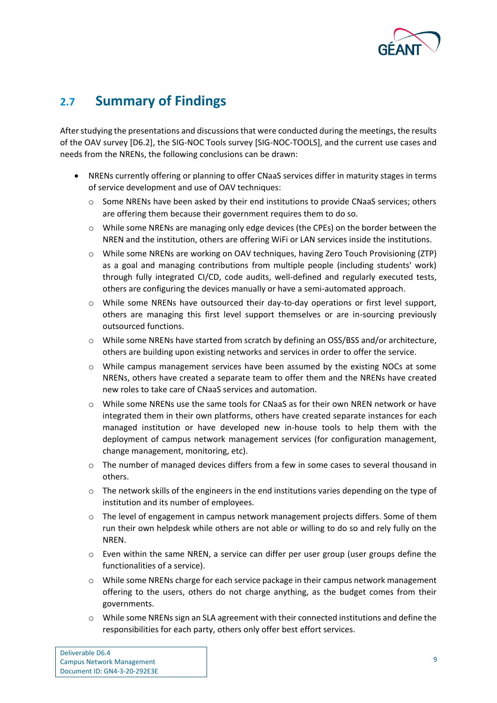

# <span id="page-11-0"></span>**2.7 Summary of Findings**

After studying the presentations and discussions that were conducted during the meetings, the results of the OAV survey [D6.2], the SIG-NOC Tools survey [SIG-NOC-TOOLS], and the current use cases and needs from the NRENs, the following conclusions can be drawn:

- NRENs currently offering or planning to offer CNaaS services differ in maturity stages in terms of service development and use of OAV techniques:
	- $\circ$  Some NRENs have been asked by their end institutions to provide CNaaS services; others are offering them because their government requires them to do so.
	- $\circ$  While some NRENs are managing only edge devices (the CPEs) on the border between the NREN and the institution, others are offering WiFi or LAN services inside the institutions.
	- o While some NRENs are working on OAV techniques, having Zero Touch Provisioning (ZTP) as a goal and managing contributions from multiple people (including students' work) through fully integrated CI/CD, code audits, well-defined and regularly executed tests, others are configuring the devices manually or have a semi-automated approach.
	- o While some NRENs have outsourced their day-to-day operations or first level support, others are managing this first level support themselves or are in-sourcing previously outsourced functions.
	- o While some NRENs have started from scratch by defining an OSS/BSS and/or architecture, others are building upon existing networks and services in order to offer the service.
	- o While campus management services have been assumed by the existing NOCs at some NRENs, others have created a separate team to offer them and the NRENs have created new roles to take care of CNaaS services and automation.
	- o While some NRENs use the same tools for CNaaS as for their own NREN network or have integrated them in their own platforms, others have created separate instances for each managed institution or have developed new in-house tools to help them with the deployment of campus network management services (for configuration management, change management, monitoring, etc).
	- $\circ$  The number of managed devices differs from a few in some cases to several thousand in others.
	- $\circ$  The network skills of the engineers in the end institutions varies depending on the type of institution and its number of employees.
	- $\circ$  The level of engagement in campus network management projects differs. Some of them run their own helpdesk while others are not able or willing to do so and rely fully on the NREN.
	- $\circ$  Even within the same NREN, a service can differ per user group (user groups define the functionalities of a service).
	- $\circ$  While some NRENs charge for each service package in their campus network management offering to the users, others do not charge anything, as the budget comes from their governments.
	- o While some NRENs sign an SLA agreement with their connected institutions and define the responsibilities for each party, others only offer best effort services.

| Deliverable D6.4                 |
|----------------------------------|
| <b>Campus Network Management</b> |
| Document ID: GN4-3-20-292E3E     |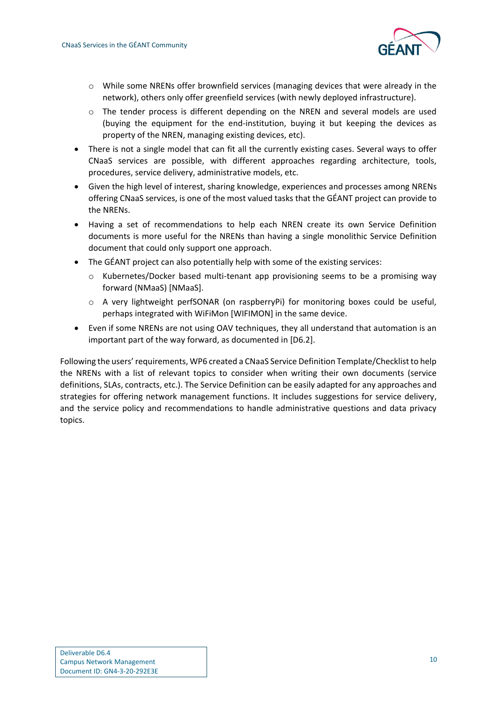

- o While some NRENs offer brownfield services (managing devices that were already in the network), others only offer greenfield services (with newly deployed infrastructure).
- o The tender process is different depending on the NREN and several models are used (buying the equipment for the end-institution, buying it but keeping the devices as property of the NREN, managing existing devices, etc).
- There is not a single model that can fit all the currently existing cases. Several ways to offer CNaaS services are possible, with different approaches regarding architecture, tools, procedures, service delivery, administrative models, etc.
- Given the high level of interest, sharing knowledge, experiences and processes among NRENs offering CNaaS services, is one of the most valued tasks that the GÉANT project can provide to the NRENs.
- Having a set of recommendations to help each NREN create its own Service Definition documents is more useful for the NRENs than having a single monolithic Service Definition document that could only support one approach.
- The GÉANT project can also potentially help with some of the existing services:
	- o Kubernetes/Docker based multi-tenant app provisioning seems to be a promising way forward (NMaaS) [NMaaS].
	- $\circ$  A very lightweight perfSONAR (on raspberryPi) for monitoring boxes could be useful, perhaps integrated with WiFiMon [WIFIMON] in the same device.
- Even if some NRENs are not using OAV techniques, they all understand that automation is an important part of the way forward, as documented in [D6.2].

Following the users' requirements, WP6 created a CNaaS Service Definition Template/Checklist to help the NRENs with a list of relevant topics to consider when writing their own documents (service definitions, SLAs, contracts, etc.). The Service Definition can be easily adapted for any approaches and strategies for offering network management functions. It includes suggestions for service delivery, and the service policy and recommendations to handle administrative questions and data privacy topics.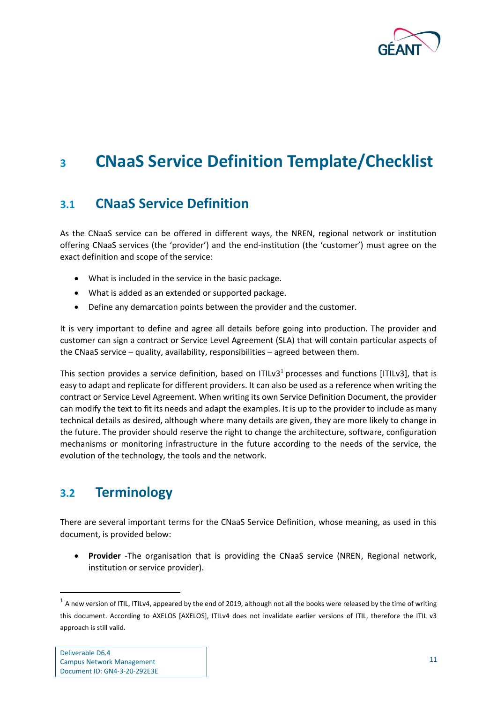

# <span id="page-13-0"></span>**<sup>3</sup> CNaaS Service Definition Template/Checklist**

# <span id="page-13-1"></span>**3.1 CNaaS Service Definition**

As the CNaaS service can be offered in different ways, the NREN, regional network or institution offering CNaaS services (the 'provider') and the end-institution (the 'customer') must agree on the exact definition and scope of the service:

- What is included in the service in the basic package.
- What is added as an extended or supported package.
- Define any demarcation points between the provider and the customer.

It is very important to define and agree all details before going into production. The provider and customer can sign a contract or Service Level Agreement (SLA) that will contain particular aspects of the CNaaS service – quality, availability, responsibilities – agreed between them.

This section provides a service definition, based on ITILv3<sup>1</sup> processes and functions [ITILv3], that is easy to adapt and replicate for different providers. It can also be used as a reference when writing the contract or Service Level Agreement. When writing its own Service Definition Document, the provider can modify the text to fit its needs and adapt the examples. It is up to the provider to include as many technical details as desired, although where many details are given, they are more likely to change in the future. The provider should reserve the right to change the architecture, software, configuration mechanisms or monitoring infrastructure in the future according to the needs of the service, the evolution of the technology, the tools and the network.

# <span id="page-13-2"></span>**3.2 Terminology**

There are several important terms for the CNaaS Service Definition, whose meaning, as used in this document, is provided below:

• **Provider** -The organisation that is providing the CNaaS service (NREN, Regional network, institution or service provider).

 $^1$  A new version of ITIL, ITILv4, appeared by the end of 2019, although not all the books were released by the time of writing this document. According to AXELOS [AXELOS], ITILv4 does not invalidate earlier versions of ITIL, therefore the ITIL v3 approach is still valid.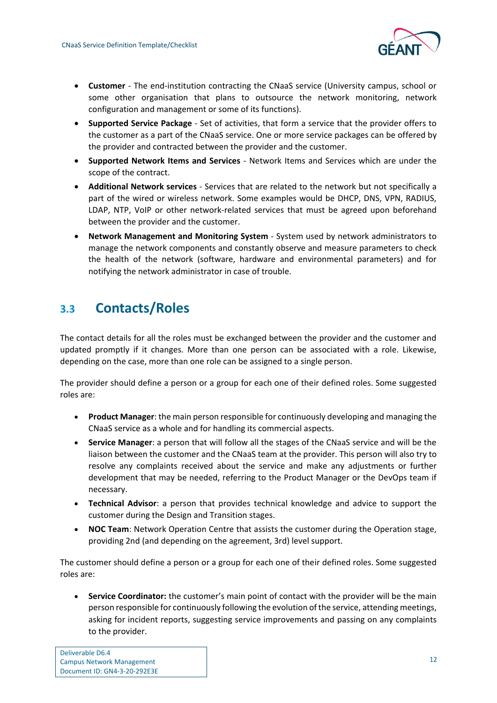

- **Customer** The end-institution contracting the CNaaS service (University campus, school or some other organisation that plans to outsource the network monitoring, network configuration and management or some of its functions).
- **Supported Service Package** Set of activities, that form a service that the provider offers to the customer as a part of the CNaaS service. One or more service packages can be offered by the provider and contracted between the provider and the customer.
- **Supported Network Items and Services** Network Items and Services which are under the scope of the contract.
- **Additional Network services** Services that are related to the network but not specifically a part of the wired or wireless network. Some examples would be DHCP, DNS, VPN, RADIUS, LDAP, NTP, VoIP or other network-related services that must be agreed upon beforehand between the provider and the customer.
- **Network Management and Monitoring System** System used by network administrators to manage the network components and constantly observe and measure parameters to check the health of the network (software, hardware and environmental parameters) and for notifying the network administrator in case of trouble.

# <span id="page-14-0"></span>**3.3 Contacts/Roles**

The contact details for all the roles must be exchanged between the provider and the customer and updated promptly if it changes. More than one person can be associated with a role. Likewise, depending on the case, more than one role can be assigned to a single person.

The provider should define a person or a group for each one of their defined roles. Some suggested roles are:

- **Product Manager**: the main person responsible for continuously developing and managing the CNaaS service as a whole and for handling its commercial aspects.
- **Service Manager**: a person that will follow all the stages of the CNaaS service and will be the liaison between the customer and the CNaaS team at the provider. This person will also try to resolve any complaints received about the service and make any adjustments or further development that may be needed, referring to the Product Manager or the DevOps team if necessary.
- **Technical Advisor**: a person that provides technical knowledge and advice to support the customer during the Design and Transition stages.
- **NOC Team**: Network Operation Centre that assists the customer during the Operation stage, providing 2nd (and depending on the agreement, 3rd) level support.

The customer should define a person or a group for each one of their defined roles. Some suggested roles are:

• **Service Coordinator:** the customer's main point of contact with the provider will be the main person responsible for continuously following the evolution of the service, attending meetings, asking for incident reports, suggesting service improvements and passing on any complaints to the provider.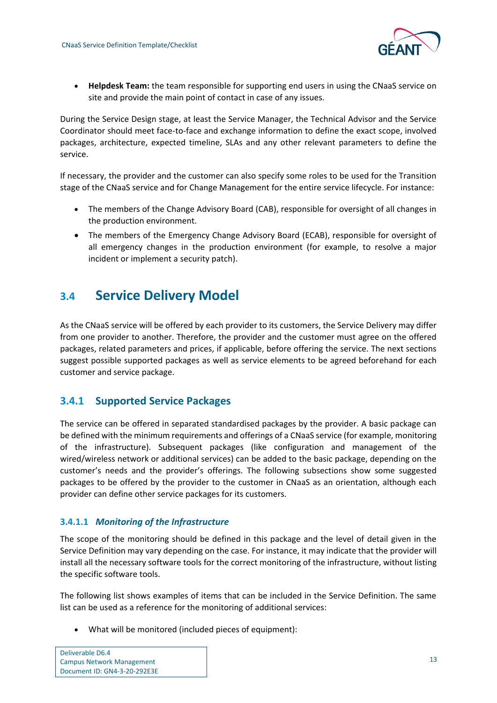

• **Helpdesk Team:** the team responsible for supporting end users in using the CNaaS service on site and provide the main point of contact in case of any issues.

During the Service Design stage, at least the Service Manager, the Technical Advisor and the Service Coordinator should meet face-to-face and exchange information to define the exact scope, involved packages, architecture, expected timeline, SLAs and any other relevant parameters to define the service.

If necessary, the provider and the customer can also specify some roles to be used for the Transition stage of the CNaaS service and for Change Management for the entire service lifecycle. For instance:

- The members of the Change Advisory Board (CAB), responsible for oversight of all changes in the production environment.
- The members of the Emergency Change Advisory Board (ECAB), responsible for oversight of all emergency changes in the production environment (for example, to resolve a major incident or implement a security patch).

# <span id="page-15-0"></span>**3.4 Service Delivery Model**

As the CNaaS service will be offered by each provider to its customers, the Service Delivery may differ from one provider to another. Therefore, the provider and the customer must agree on the offered packages, related parameters and prices, if applicable, before offering the service. The next sections suggest possible supported packages as well as service elements to be agreed beforehand for each customer and service package.

## <span id="page-15-1"></span>**3.4.1 Supported Service Packages**

The service can be offered in separated standardised packages by the provider. A basic package can be defined with the minimum requirements and offerings of a CNaaS service (for example, monitoring of the infrastructure). Subsequent packages (like configuration and management of the wired/wireless network or additional services) can be added to the basic package, depending on the customer's needs and the provider's offerings. The following subsections show some suggested packages to be offered by the provider to the customer in CNaaS as an orientation, although each provider can define other service packages for its customers.

### <span id="page-15-2"></span>**3.4.1.1** *Monitoring of the Infrastructure*

The scope of the monitoring should be defined in this package and the level of detail given in the Service Definition may vary depending on the case. For instance, it may indicate that the provider will install all the necessary software tools for the correct monitoring of the infrastructure, without listing the specific software tools.

The following list shows examples of items that can be included in the Service Definition. The same list can be used as a reference for the monitoring of additional services:

• What will be monitored (included pieces of equipment):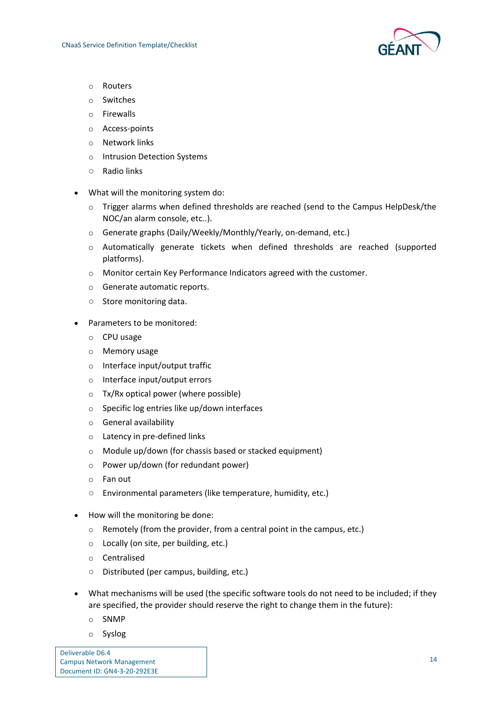

- o Routers
- o Switches
- o Firewalls
- o Access-points
- o Network links
- o Intrusion Detection Systems
- Radio links
- What will the monitoring system do:
	- o Trigger alarms when defined thresholds are reached (send to the Campus HelpDesk/the NOC/an alarm console, etc..).
	- o Generate graphs (Daily/Weekly/Monthly/Yearly, on-demand, etc.)
	- o Automatically generate tickets when defined thresholds are reached (supported platforms).
	- o Monitor certain Key Performance Indicators agreed with the customer.
	- o Generate automatic reports.
	- Store monitoring data.
- Parameters to be monitored:
	- o CPU usage
	- o Memory usage
	- o Interface input/output traffic
	- o Interface input/output errors
	- $\circ$  Tx/Rx optical power (where possible)
	- o Specific log entries like up/down interfaces
	- o General availability
	- o Latency in pre-defined links
	- o Module up/down (for chassis based or stacked equipment)
	- o Power up/down (for redundant power)
	- o Fan out
	- Environmental parameters (like temperature, humidity, etc.)
- How will the monitoring be done:
	- o Remotely (from the provider, from a central point in the campus, etc.)
	- o Locally (on site, per building, etc.)
	- o Centralised
	- Distributed (per campus, building, etc.)
- What mechanisms will be used (the specific software tools do not need to be included; if they are specified, the provider should reserve the right to change them in the future):
	- o SNMP
	- o Syslog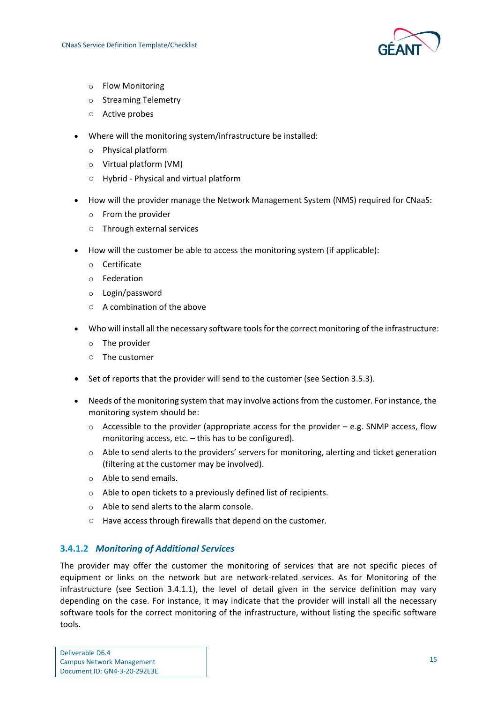

- o Flow Monitoring
- o Streaming Telemetry
- Active probes
- Where will the monitoring system/infrastructure be installed:
	- o Physical platform
	- o Virtual platform (VM)
	- Hybrid Physical and virtual platform
- How will the provider manage the Network Management System (NMS) required for CNaaS:
	- o From the provider
	- Through external services
- How will the customer be able to access the monitoring system (if applicable):
	- o Certificate
	- o Federation
	- o Login/password
	- A combination of the above
- Who will install all the necessary software tools for the correct monitoring of the infrastructure:
	- o The provider
	- The customer
- Set of reports that the provider will send to the customer (see Section [3.5.3\)](#page-29-0).
- Needs of the monitoring system that may involve actions from the customer. For instance, the monitoring system should be:
	- $\circ$  Accessible to the provider (appropriate access for the provider e.g. SNMP access, flow monitoring access, etc. – this has to be configured).
	- $\circ$  Able to send alerts to the providers' servers for monitoring, alerting and ticket generation (filtering at the customer may be involved).
	- o Able to send emails.
	- o Able to open tickets to a previously defined list of recipients.
	- o Able to send alerts to the alarm console.
	- Have access through firewalls that depend on the customer.

#### **3.4.1.2** *Monitoring of Additional Services*

The provider may offer the customer the monitoring of services that are not specific pieces of equipment or links on the network but are network-related services. As for Monitoring of the infrastructure (see Section 3.4.1.1), the level of detail given in the service definition may vary depending on the case. For instance, it may indicate that the provider will install all the necessary software tools for the correct monitoring of the infrastructure, without listing the specific software tools.

| Deliverable D6.4                 |  |
|----------------------------------|--|
| <b>Campus Network Management</b> |  |
| Document ID: GN4-3-20-292E3E     |  |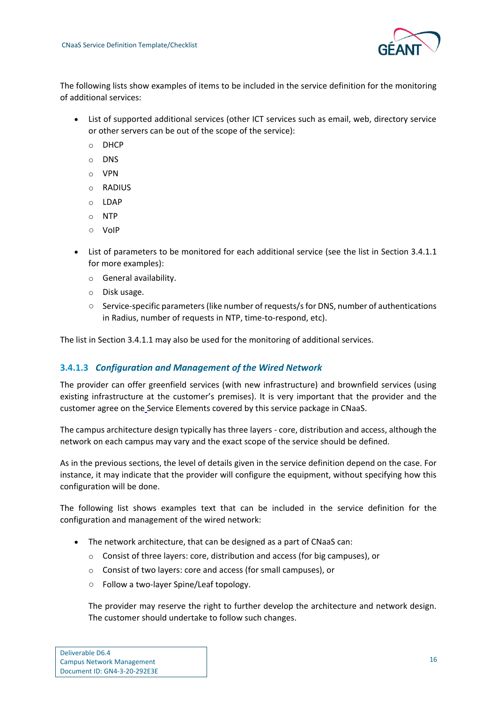

The following lists show examples of items to be included in the service definition for the monitoring of additional services:

- List of supported additional services (other ICT services such as email, web, directory service or other servers can be out of the scope of the service):
	- o DHCP
	- o DNS
	- o VPN
	- o RADIUS
	- o LDAP
	- o NTP
	- VoIP
- List of parameters to be monitored for each additional service (see the list in Section [3.4.1.1](#page-15-2) for more examples):
	- o General availability.
	- o Disk usage.
	- Service-specific parameters (like number of requests/s for DNS, number of authentications in Radius, number of requests in NTP, time-to-respond, etc).

The list in Section [3.4.1.1](#page-15-2) may also be used for the monitoring of additional services.

#### **3.4.1.3** *Configuration and Management of the Wired Network*

The provider can offer greenfield services (with new infrastructure) and brownfield services (using existing infrastructure at the customer's premises). It is very important that the provider and the customer agree on th[e](https://wiki.geant.org/display/gn43wp6/CNaaS+Service+Definition+Template#CNaaSServiceDefinitionTemplate-ServiceElements) Service Elements covered by this service package in CNaaS.

The campus architecture design typically has three layers - core, distribution and access, although the network on each campus may vary and the exact scope of the service should be defined.

As in the previous sections, the level of details given in the service definition depend on the case. For instance, it may indicate that the provider will configure the equipment, without specifying how this configuration will be done.

The following list shows examples text that can be included in the service definition for the configuration and management of the wired network:

- The network architecture, that can be designed as a part of CNaaS can:
	- o Consist of three layers: core, distribution and access (for big campuses), or
	- o Consist of two layers: core and access (for small campuses), or
	- Follow a two-layer Spine/Leaf topology.

The provider may reserve the right to further develop the architecture and network design. The customer should undertake to follow such changes.

| Deliverable D6.4                 |
|----------------------------------|
| <b>Campus Network Management</b> |
| Document ID: GN4-3-20-292E3E     |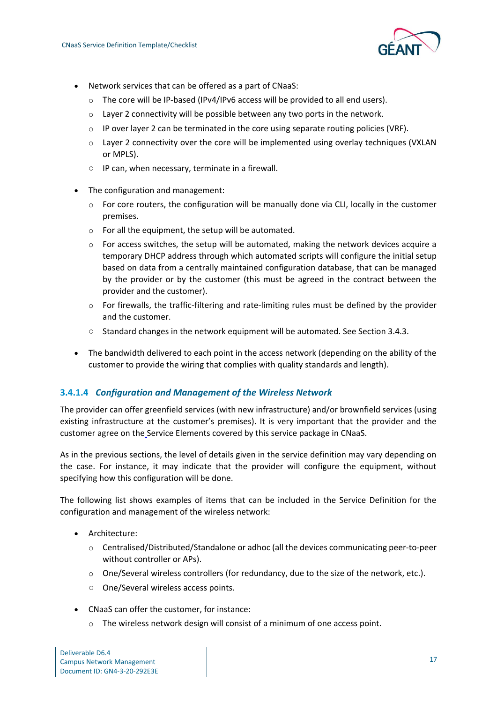

- Network services that can be offered as a part of CNaaS:
	- $\circ$  The core will be IP-based (IPv4/IPv6 access will be provided to all end users).
	- o Layer 2 connectivity will be possible between any two ports in the network.
	- $\circ$  IP over layer 2 can be terminated in the core using separate routing policies (VRF).
	- $\circ$  Layer 2 connectivity over the core will be implemented using overlay techniques (VXLAN or MPLS).
	- IP can, when necessary, terminate in a firewall.
- The configuration and management:
	- $\circ$  For core routers, the configuration will be manually done via CLI, locally in the customer premises.
	- o For all the equipment, the setup will be automated.
	- $\circ$  For access switches, the setup will be automated, making the network devices acquire a temporary DHCP address through which automated scripts will configure the initial setup based on data from a centrally maintained configuration database, that can be managed by the provider or by the customer (this must be agreed in the contract between the provider and the customer).
	- $\circ$  For firewalls, the traffic-filtering and rate-limiting rules must be defined by the provider and the customer.
	- Standard changes in the network equipment will be automated. See [S](https://wiki.geant.org/display/gn43wp6/CNaaS+Service+Definition+Template#CNaaSServiceDefinitionTemplate-ChangeManagement)ection [3.4.3.](#page-23-0)
- The bandwidth delivered to each point in the access network (depending on the ability of the customer to provide the wiring that complies with quality standards and length).

#### **3.4.1.4** *Configuration and Management of the Wireless Network*

The provider can offer greenfield services (with new infrastructure) and/or brownfield services (using existing infrastructure at the customer's premises). It is very important that the provider and the customer agree on th[e](https://wiki.geant.org/display/gn43wp6/CNaaS+Service+Definition+Template#CNaaSServiceDefinitionTemplate-ServiceElements) Service Elements covered by this service package in CNaaS.

As in the previous sections, the level of details given in the service definition may vary depending on the case. For instance, it may indicate that the provider will configure the equipment, without specifying how this configuration will be done.

The following list shows examples of items that can be included in the Service Definition for the configuration and management of the wireless network:

- Architecture:
	- o Centralised/Distributed/Standalone or adhoc (all the devices communicating peer-to-peer without controller or APs).
	- $\circ$  One/Several wireless controllers (for redundancy, due to the size of the network, etc.).
	- One/Several wireless access points.
- CNaaS can offer the customer, for instance:
	- $\circ$  The wireless network design will consist of a minimum of one access point.

| Deliverable D6.4                 |  |
|----------------------------------|--|
| <b>Campus Network Management</b> |  |
| Document ID: GN4-3-20-292E3E     |  |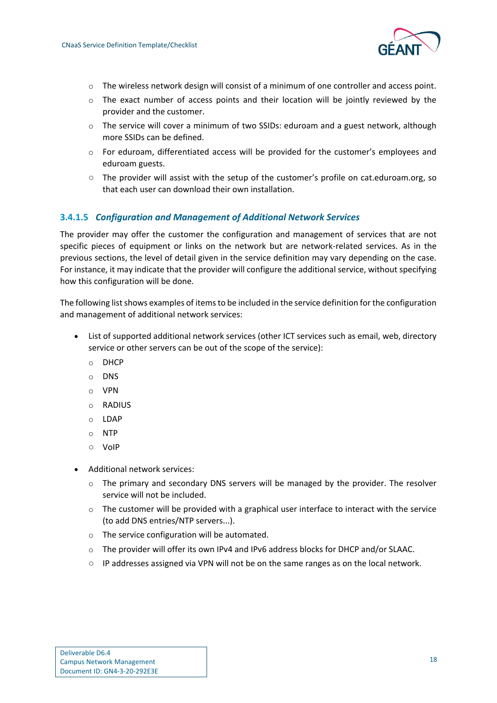

- o The wireless network design will consist of a minimum of one controller and access point.
- $\circ$  The exact number of access points and their location will be jointly reviewed by the provider and the customer.
- $\circ$  The service will cover a minimum of two SSIDs: eduroam and a guest network, although more SSIDs can be defined.
- $\circ$  For eduroam, differentiated access will be provided for the customer's employees and eduroam guests.
- The provider will assist with the setup of the customer's profile on [cat.eduroam.org,](http://cat.eduroam.org/) so that each user can download their own installation.

#### **3.4.1.5** *Configuration and Management of Additional Network Services*

The provider may offer the customer the configuration and management of services that are not specific pieces of equipment or links on the network but are network-related services. As in the previous sections, the level of detail given in the service definition may vary depending on the case. For instance, it may indicate that the provider will configure the additional service, without specifying how this configuration will be done.

The following list shows examples of items to be included in the service definition for the configuration and management of additional network services:

- List of supported additional network services (other ICT services such as email, web, directory service or other servers can be out of the scope of the service):
	- o DHCP
	- o DNS
	- o VPN
	- o RADIUS
	- o LDAP
	- o NTP
	- VoIP
- Additional network services:
	- $\circ$  The primary and secondary DNS servers will be managed by the provider. The resolver service will not be included.
	- $\circ$  The customer will be provided with a graphical user interface to interact with the service (to add DNS entries/NTP servers...).
	- o The service configuration will be automated.
	- o The provider will offer its own IPv4 and IPv6 address blocks for DHCP and/or SLAAC.
	- IP addresses assigned via VPN will not be on the same ranges as on the local network.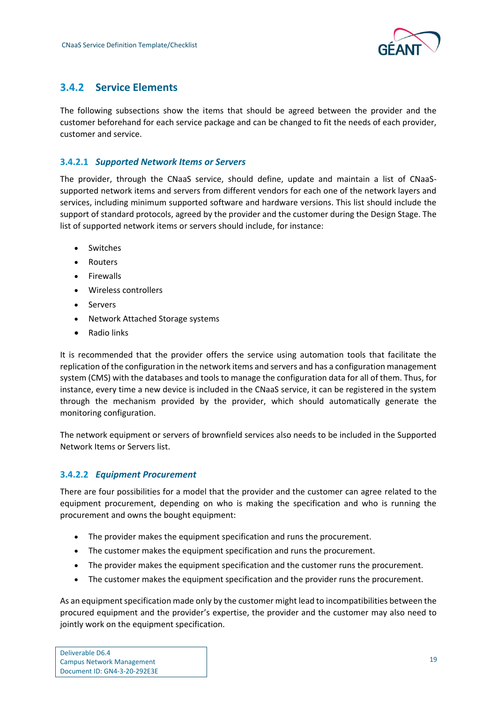

## <span id="page-21-0"></span>**3.4.2 Service Elements**

The following subsections show the items that should be agreed between the provider and the customer beforehand for each service package and can be changed to fit the needs of each provider, customer and service.

#### **3.4.2.1** *Supported Network Items or Servers*

The provider, through the CNaaS service, should define, update and maintain a list of CNaaSsupported network items and servers from different vendors for each one of the network layers and services, including minimum supported software and hardware versions. This list should include the support of standard protocols, agreed by the provider and the customer during the Design Stage. The list of supported network items or servers should include, for instance:

- Switches
- Routers
- Firewalls
- Wireless controllers
- Servers
- Network Attached Storage systems
- Radio links

It is recommended that the provider offers the service using automation tools that facilitate the replication of the configuration in the network items and servers and has a configuration management system (CMS) with the databases and tools to manage the configuration data for all of them. Thus, for instance, every time a new device is included in the CNaaS service, it can be registered in the system through the mechanism provided by the provider, which should automatically generate the monitoring configuration.

The network equipment or servers of brownfield services also needs to be included in the Supported Network Items or Servers list.

### **3.4.2.2** *Equipment Procurement*

There are four possibilities for a model that the provider and the customer can agree related to the equipment procurement, depending on who is making the specification and who is running the procurement and owns the bought equipment:

- The provider makes the equipment specification and runs the procurement.
- The customer makes the equipment specification and runs the procurement.
- The provider makes the equipment specification and the customer runs the procurement.
- The customer makes the equipment specification and the provider runs the procurement.

As an equipment specification made only by the customer might lead to incompatibilities between the procured equipment and the provider's expertise, the provider and the customer may also need to jointly work on the equipment specification.

| Deliverable D6.4                 |
|----------------------------------|
| <b>Campus Network Management</b> |
| Document ID: GN4-3-20-292E3E     |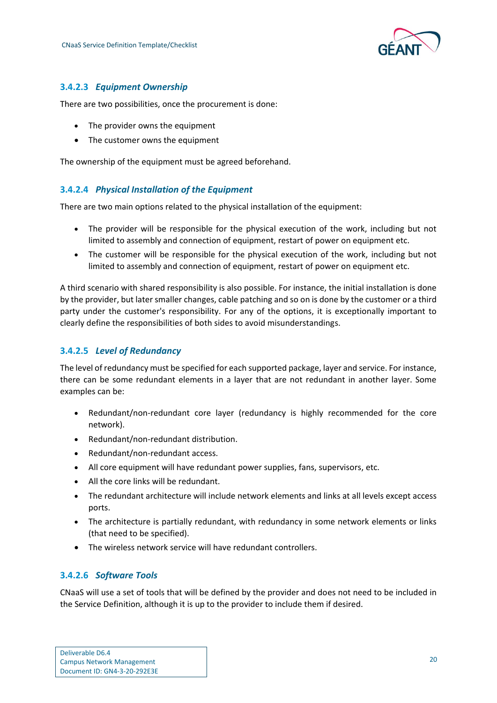

#### **3.4.2.3** *Equipment Ownership*

There are two possibilities, once the procurement is done:

- The provider owns the equipment
- The customer owns the equipment

The ownership of the equipment must be agreed beforehand.

#### **3.4.2.4** *Physical Installation of the Equipment*

There are two main options related to the physical installation of the equipment:

- The provider will be responsible for the physical execution of the work, including but not limited to assembly and connection of equipment, restart of power on equipment etc.
- The customer will be responsible for the physical execution of the work, including but not limited to assembly and connection of equipment, restart of power on equipment etc.

A third scenario with shared responsibility is also possible. For instance, the initial installation is done by the provider, but later smaller changes, cable patching and so on is done by the customer or a third party under the customer's responsibility. For any of the options, it is exceptionally important to clearly define the responsibilities of both sides to avoid misunderstandings.

#### **3.4.2.5** *Level of Redundancy*

The level of redundancy must be specified for each supported package, layer and service. For instance, there can be some redundant elements in a layer that are not redundant in another layer. Some examples can be:

- Redundant/non-redundant core layer (redundancy is highly recommended for the core network).
- Redundant/non-redundant distribution.
- Redundant/non-redundant access.
- All core equipment will have redundant power supplies, fans, supervisors, etc.
- All the core links will be redundant.
- The redundant architecture will include network elements and links at all levels except access ports.
- The architecture is partially redundant, with redundancy in some network elements or links (that need to be specified).
- The wireless network service will have redundant controllers.

#### **3.4.2.6** *Software Tools*

CNaaS will use a set of tools that will be defined by the provider and does not need to be included in the Service Definition, although it is up to the provider to include them if desired.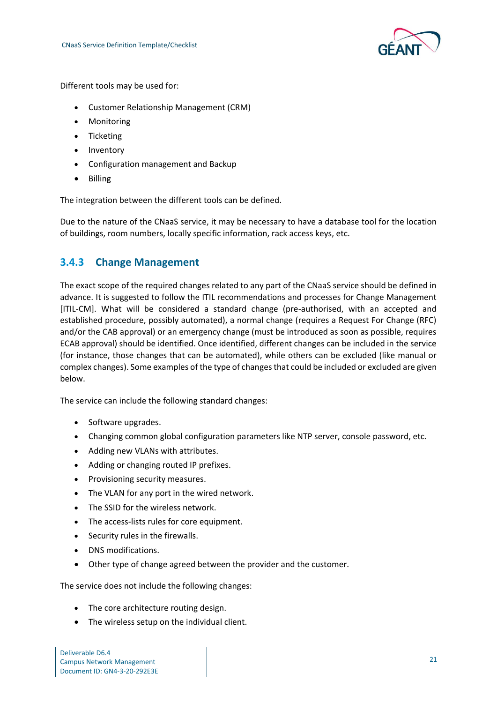

Different tools may be used for:

- Customer Relationship Management (CRM)
- Monitoring
- Ticketing
- Inventory
- Configuration management and Backup
- Billing

The integration between the different tools can be defined.

Due to the nature of the CNaaS service, it may be necessary to have a database tool for the location of buildings, room numbers, locally specific information, rack access keys, etc.

### <span id="page-23-0"></span>**3.4.3 Change Management**

The exact scope of the required changes related to any part of the CNaaS service should be defined in advance. It is suggested to follow the ITIL recommendations and processes for Change Management [ITIL-CM]. What will be considered a standard change (pre-authorised, with an accepted and established procedure, possibly automated), a normal change (requires a Request For Change (RFC) and/or the CAB approval) or an emergency change (must be introduced as soon as possible, requires ECAB approval) should be identified. Once identified, different changes can be included in the service (for instance, those changes that can be automated), while others can be excluded (like manual or complex changes). Some examples of the type of changes that could be included or excluded are given below.

The service can include the following standard changes:

- Software upgrades.
- Changing common global configuration parameters like NTP server, console password, etc.
- Adding new VLANs with attributes.
- Adding or changing routed IP prefixes.
- Provisioning security measures.
- The VLAN for any port in the wired network.
- The SSID for the wireless network.
- The access-lists rules for core equipment.
- Security rules in the firewalls.
- DNS modifications.
- Other type of change agreed between the provider and the customer.

The service does not include the following changes:

- The core architecture routing design.
- The wireless setup on the individual client.

| Deliverable D6.4                 |  |
|----------------------------------|--|
| <b>Campus Network Management</b> |  |
| Document ID: GN4-3-20-292E3E     |  |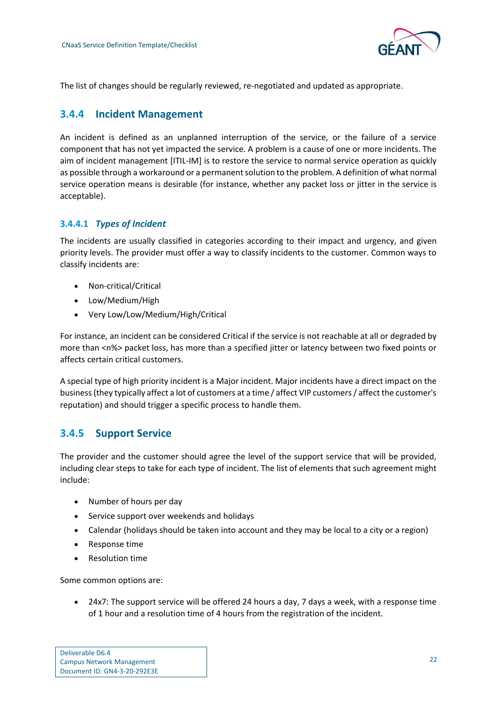

The list of changes should be regularly reviewed, re-negotiated and updated as appropriate.

### <span id="page-24-0"></span>**3.4.4 Incident Management**

An incident is defined as an unplanned interruption of the service, or the failure of a service component that has not yet impacted the service. A problem is a cause of one or more incidents. The aim of incident management [ITIL-IM] is to restore the service to normal service operation as quickly as possible through a workaround or a permanent solution to the problem. A definition of what normal service operation means is desirable (for instance, whether any packet loss or jitter in the service is acceptable).

#### **3.4.4.1** *Types of Incident*

The incidents are usually classified in categories according to their impact and urgency, and given priority levels. The provider must offer a way to classify incidents to the customer. Common ways to classify incidents are:

- Non-critical/Critical
- Low/Medium/High
- Very Low/Low/Medium/High/Critical

For instance, an incident can be considered Critical if the service is not reachable at all or degraded by more than <n%> packet loss, has more than a specified jitter or latency between two fixed points or affects certain critical customers.

A special type of high priority incident is a Major incident. Major incidents have a direct impact on the business (they typically affect a lot of customers at a time / affect VIP customers / affect the customer's reputation) and should trigger a specific process to handle them.

## <span id="page-24-1"></span>**3.4.5 Support Service**

The provider and the customer should agree the level of the support service that will be provided, including clear steps to take for each type of incident. The list of elements that such agreement might include:

- Number of hours per day
- Service support over weekends and holidays
- Calendar (holidays should be taken into account and they may be local to a city or a region)
- Response time
- Resolution time

Some common options are:

• 24x7: The support service will be offered 24 hours a day, 7 days a week, with a response time of 1 hour and a resolution time of 4 hours from the registration of the incident.

| Deliverable D6.4                 |  |
|----------------------------------|--|
| <b>Campus Network Management</b> |  |
| Document ID: GN4-3-20-292E3E     |  |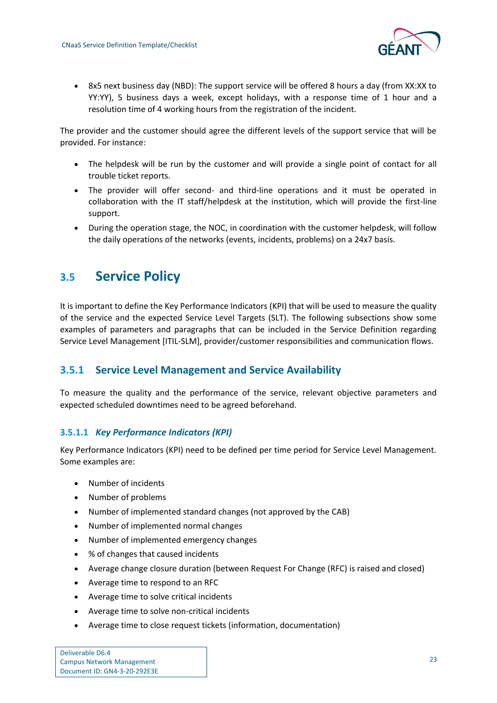

• 8x5 next business day (NBD): The support service will be offered 8 hours a day (from XX:XX to YY:YY), 5 business days a week, except holidays, with a response time of 1 hour and a resolution time of 4 working hours from the registration of the incident.

The provider and the customer should agree the different levels of the support service that will be provided. For instance:

- The helpdesk will be run by the customer and will provide a single point of contact for all trouble ticket reports.
- The provider will offer second- and third-line operations and it must be operated in collaboration with the IT staff/helpdesk at the institution, which will provide the first-line support.
- During the operation stage, the NOC, in coordination with the customer helpdesk, will follow the daily operations of the networks (events, incidents, problems) on a 24x7 basis.

## <span id="page-25-0"></span>**3.5 Service Policy**

It is important to define the Key Performance Indicators (KPI) that will be used to measure the quality of the service and the expected Service Level Targets (SLT). The following subsections show some examples of parameters and paragraphs that can be included in the Service Definition regarding Service Level Management [ITIL-SLM], provider/customer responsibilities and communication flows.

## <span id="page-25-1"></span>**3.5.1 Service Level Management and Service Availability**

To measure the quality and the performance of the service, relevant objective parameters and expected scheduled downtimes need to be agreed beforehand.

### **3.5.1.1** *Key Performance Indicators (KPI)*

Key Performance Indicators (KPI) need to be defined per time period for Service Level Management. Some examples are:

- Number of incidents
- Number of problems
- Number of implemented standard changes (not approved by the CAB)
- Number of implemented normal changes
- Number of implemented emergency changes
- % of changes that caused incidents
- Average change closure duration (between Request For Change (RFC) is raised and closed)
- Average time to respond to an RFC
- Average time to solve critical incidents
- Average time to solve non-critical incidents
- Average time to close request tickets (information, documentation)

| Deliverable D6.4                 |  |
|----------------------------------|--|
| <b>Campus Network Management</b> |  |
| Document ID: GN4-3-20-292E3E     |  |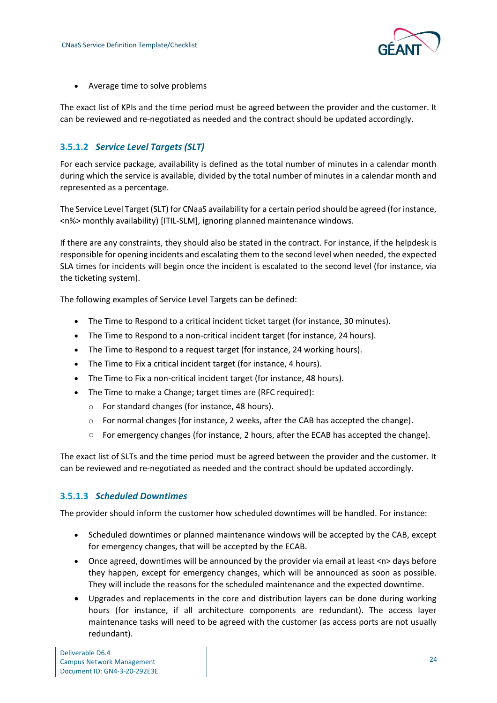

• Average time to solve problems

The exact list of KPIs and the time period must be agreed between the provider and the customer. It can be reviewed and re-negotiated as needed and the contract should be updated accordingly.

### **3.5.1.2** *Service Level Targets (SLT)*

For each service package, availability is defined as the total number of minutes in a calendar month during which the service is available, divided by the total number of minutes in a calendar month and represented as a percentage.

The Service Level Target (SLT) for CNaaS availability for a certain period should be agreed (for instance, <n%> monthly availability) [ITIL-SLM], ignoring planned maintenance windows.

If there are any constraints, they should also be stated in the contract. For instance, if the helpdesk is responsible for opening incidents and escalating them to the second level when needed, the expected SLA times for incidents will begin once the incident is escalated to the second level (for instance, via the ticketing system).

The following examples of Service Level Targets can be defined:

- The Time to Respond to a critical incident ticket target (for instance, 30 minutes).
- The Time to Respond to a non-critical incident target (for instance, 24 hours).
- The Time to Respond to a request target (for instance, 24 working hours).
- The Time to Fix a critical incident target (for instance, 4 hours).
- The Time to Fix a non-critical incident target (for instance, 48 hours).
- The Time to make a Change; target times are (RFC required):
	- o For standard changes (for instance, 48 hours).
	- $\circ$  For normal changes (for instance, 2 weeks, after the CAB has accepted the change).
	- For emergency changes (for instance, 2 hours, after the ECAB has accepted the change).

The exact list of SLTs and the time period must be agreed between the provider and the customer. It can be reviewed and re-negotiated as needed and the contract should be updated accordingly.

#### **3.5.1.3** *Scheduled Downtimes*

The provider should inform the customer how scheduled downtimes will be handled. For instance:

- Scheduled downtimes or planned maintenance windows will be accepted by the CAB, except for emergency changes, that will be accepted by the ECAB.
- Once agreed, downtimes will be announced by the provider via email at least <n> days before they happen, except for emergency changes, which will be announced as soon as possible. They will include the reasons for the scheduled maintenance and the expected downtime.
- Upgrades and replacements in the core and distribution layers can be done during working hours (for instance, if all architecture components are redundant). The access layer maintenance tasks will need to be agreed with the customer (as access ports are not usually redundant).

| Deliverable D6.4                 |  |
|----------------------------------|--|
| <b>Campus Network Management</b> |  |
| Document ID: GN4-3-20-292E3E     |  |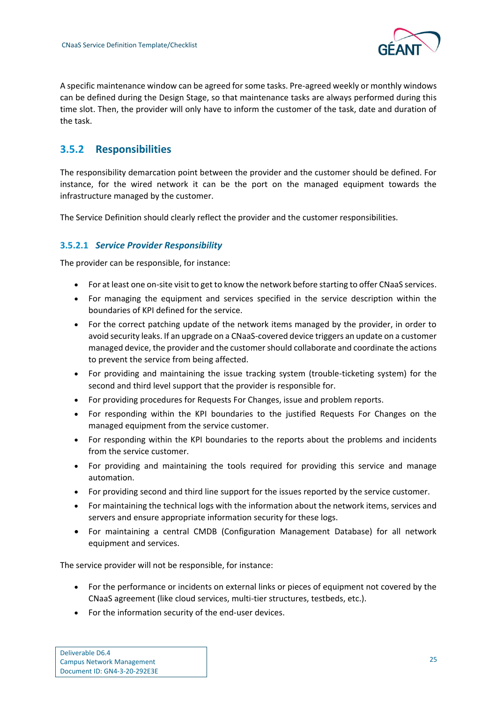

A specific maintenance window can be agreed for some tasks. Pre-agreed weekly or monthly windows can be defined during the Design Stage, so that maintenance tasks are always performed during this time slot. Then, the provider will only have to inform the customer of the task, date and duration of the task.

## <span id="page-27-0"></span>**3.5.2 Responsibilities**

The responsibility demarcation point between the provider and the customer should be defined. For instance, for the wired network it can be the port on the managed equipment towards the infrastructure managed by the customer.

The Service Definition should clearly reflect the provider and the customer responsibilities.

#### **3.5.2.1** *Service Provider Responsibility*

The provider can be responsible, for instance:

- For at least one on-site visit to get to know the network before starting to offer CNaaS services.
- For managing the equipment and services specified in the service description within the boundaries of KPI defined for the service.
- For the correct patching update of the network items managed by the provider, in order to avoid security leaks. If an upgrade on a CNaaS-covered device triggers an update on a customer managed device, the provider and the customer should collaborate and coordinate the actions to prevent the service from being affected.
- For providing and maintaining the issue tracking system (trouble-ticketing system) for the second and third level support that the provider is responsible for.
- For providing procedures for Requests For Changes, issue and problem reports.
- For responding within the KPI boundaries to the justified Requests For Changes on the managed equipment from the service customer.
- For responding within the KPI boundaries to the reports about the problems and incidents from the service customer.
- For providing and maintaining the tools required for providing this service and manage automation.
- For providing second and third line support for the issues reported by the service customer.
- For maintaining the technical logs with the information about the network items, services and servers and ensure appropriate information security for these logs.
- For maintaining a central CMDB (Configuration Management Database) for all network equipment and services.

The service provider will not be responsible, for instance:

- For the performance or incidents on external links or pieces of equipment not covered by the CNaaS agreement (like cloud services, multi-tier structures, testbeds, etc.).
- For the information security of the end-user devices.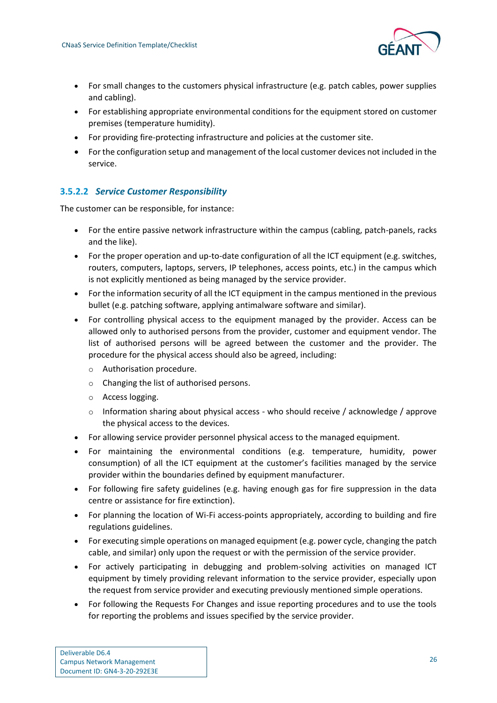

- For small changes to the customers physical infrastructure (e.g. patch cables, power supplies and cabling).
- For establishing appropriate environmental conditions for the equipment stored on customer premises (temperature humidity).
- For providing fire-protecting infrastructure and policies at the customer site.
- For the configuration setup and management of the local customer devices not included in the service.

### **3.5.2.2** *Service Customer Responsibility*

The customer can be responsible, for instance:

- For the entire passive network infrastructure within the campus (cabling, patch-panels, racks and the like).
- For the proper operation and up-to-date configuration of all the ICT equipment (e.g. switches, routers, computers, laptops, servers, IP telephones, access points, etc.) in the campus which is not explicitly mentioned as being managed by the service provider.
- For the information security of all the ICT equipment in the campus mentioned in the previous bullet (e.g. patching software, applying antimalware software and similar).
- For controlling physical access to the equipment managed by the provider. Access can be allowed only to authorised persons from the provider, customer and equipment vendor. The list of authorised persons will be agreed between the customer and the provider. The procedure for the physical access should also be agreed, including:
	- o Authorisation procedure.
	- o Changing the list of authorised persons.
	- o Access logging.
	- $\circ$  Information sharing about physical access who should receive / acknowledge / approve the physical access to the devices.
- For allowing service provider personnel physical access to the managed equipment.
- For maintaining the environmental conditions (e.g. temperature, humidity, power consumption) of all the ICT equipment at the customer's facilities managed by the service provider within the boundaries defined by equipment manufacturer.
- For following fire safety guidelines (e.g. having enough gas for fire suppression in the data centre or assistance for fire extinction).
- For planning the location of Wi-Fi access-points appropriately, according to building and fire regulations guidelines.
- For executing simple operations on managed equipment (e.g. power cycle, changing the patch cable, and similar) only upon the request or with the permission of the service provider.
- For actively participating in debugging and problem-solving activities on managed ICT equipment by timely providing relevant information to the service provider, especially upon the request from service provider and executing previously mentioned simple operations.
- For following the Requests For Changes and issue reporting procedures and to use the tools for reporting the problems and issues specified by the service provider.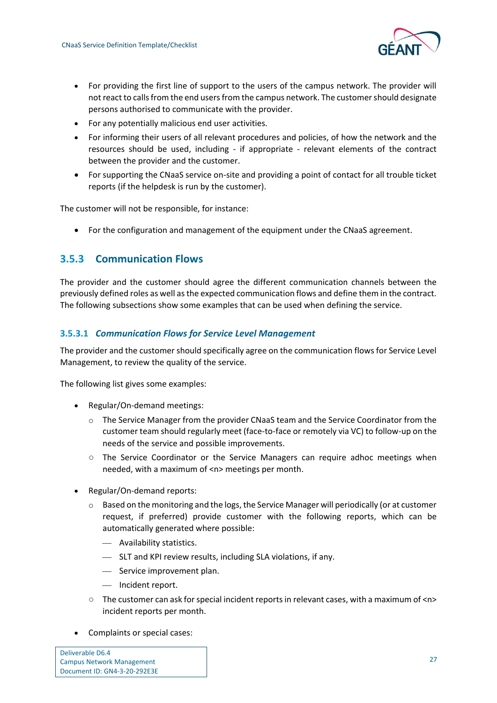

- For providing the first line of support to the users of the campus network. The provider will not react to calls from the end users from the campus network. The customer should designate persons authorised to communicate with the provider.
- For any potentially malicious end user activities.
- For informing their users of all relevant procedures and policies, of how the network and the resources should be used, including - if appropriate - relevant elements of the contract between the provider and the customer.
- For supporting the CNaaS service on-site and providing a point of contact for all trouble ticket reports (if the helpdesk is run by the customer).

The customer will not be responsible, for instance:

• For the configuration and management of the equipment under the CNaaS agreement.

## <span id="page-29-0"></span>**3.5.3 Communication Flows**

The provider and the customer should agree the different communication channels between the previously defined roles as well as the expected communication flows and define them in the contract. The following subsections show some examples that can be used when defining the service.

#### **3.5.3.1** *Communication Flows for Service Level Management*

The provider and the customer should specifically agree on the communication flows for Service Level Management, to review the quality of the service.

The following list gives some examples:

- Regular/On-demand meetings:
	- $\circ$  The Service Manager from the provider CNaaS team and the Service Coordinator from the customer team should regularly meet (face-to-face or remotely via VC) to follow-up on the needs of the service and possible improvements.
	- The Service Coordinator or the Service Managers can require adhoc meetings when needed, with a maximum of <n> meetings per month.
- Regular/On-demand reports:
	- $\circ$  Based on the monitoring and the logs, the Service Manager will periodically (or at customer request, if preferred) provide customer with the following reports, which can be automatically generated where possible:
		- ⎯ Availability statistics.
		- ⎯ SLT and KPI review results, including SLA violations, if any.
		- Service improvement plan.
		- Incident report.
	- $\circ$  The customer can ask for special incident reports in relevant cases, with a maximum of  $\langle n \rangle$ incident reports per month.
- Complaints or special cases:

| Deliverable D6.4                 |  |
|----------------------------------|--|
| <b>Campus Network Management</b> |  |
| Document ID: GN4-3-20-292E3E     |  |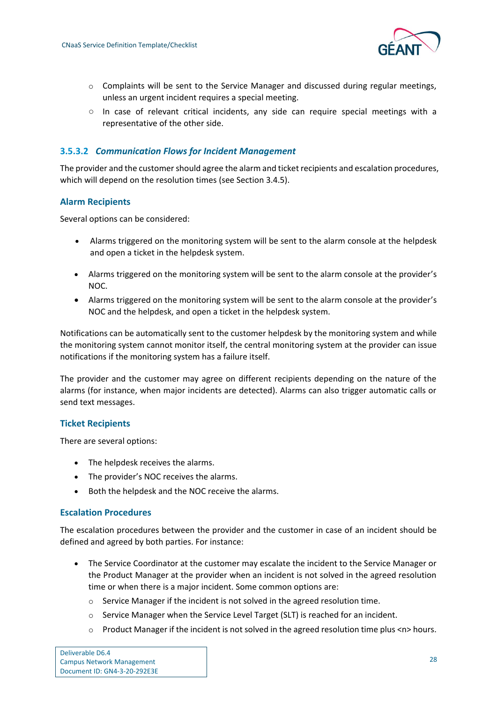

- $\circ$  Complaints will be sent to the Service Manager and discussed during regular meetings, unless an urgent incident requires a special meeting.
- $\circ$  In case of relevant critical incidents, any side can require special meetings with a representative of the other side.

#### **3.5.3.2** *Communication Flows for Incident Management*

The provider and the customer should agree the alarm and ticket recipients and escalation procedures, which will depend on the resolution times (see Section [3.4.5\)](#page-24-1).

#### **Alarm Recipients**

Several options can be considered:

- Alarms triggered on the monitoring system will be sent to the alarm console at the helpdesk and open a ticket in the helpdesk system.
- Alarms triggered on the monitoring system will be sent to the alarm console at the provider's NOC.
- Alarms triggered on the monitoring system will be sent to the alarm console at the provider's NOC and the helpdesk, and open a ticket in the helpdesk system.

Notifications can be automatically sent to the customer helpdesk by the monitoring system and while the monitoring system cannot monitor itself, the central monitoring system at the provider can issue notifications if the monitoring system has a failure itself.

The provider and the customer may agree on different recipients depending on the nature of the alarms (for instance, when major incidents are detected). Alarms can also trigger automatic calls or send text messages.

#### **Ticket Recipients**

There are several options:

- The helpdesk receives the alarms.
- The provider's NOC receives the alarms.
- Both the helpdesk and the NOC receive the alarms.

#### **Escalation Procedures**

The escalation procedures between the provider and the customer in case of an incident should be defined and agreed by both parties. For instance:

- The Service Coordinator at the customer may escalate the incident to the Service Manager or the Product Manager at the provider when an incident is not solved in the agreed resolution time or when there is a major incident. Some common options are:
	- o Service Manager if the incident is not solved in the agreed resolution time.
	- $\circ$  Service Manager when the Service Level Target (SLT) is reached for an incident.
	- $\circ$  Product Manager if the incident is not solved in the agreed resolution time plus  $\langle n \rangle$  hours.

| Deliverable D6.4                 |
|----------------------------------|
| <b>Campus Network Management</b> |
| Document ID: GN4-3-20-292E3E     |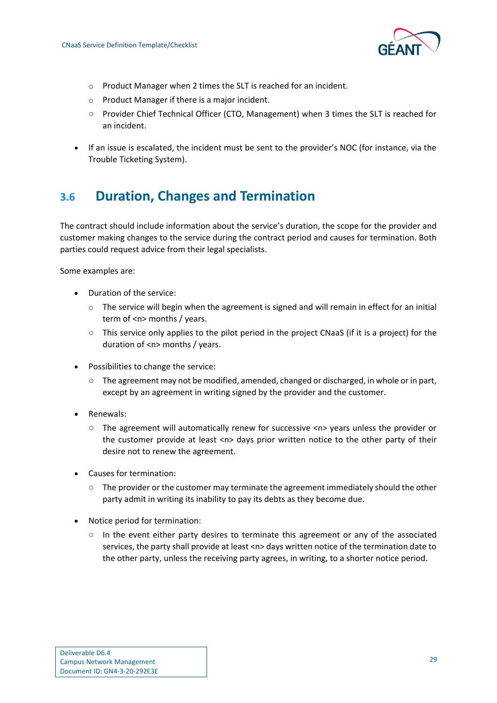

- o Product Manager when 2 times the SLT is reached for an incident.
- o Product Manager if there is a major incident.
- Provider Chief Technical Officer (CTO, Management) when 3 times the SLT is reached for an incident.
- If an issue is escalated, the incident must be sent to the provider's NOC (for instance, via the Trouble Ticketing System).

# <span id="page-31-0"></span>**3.6 Duration, Changes and Termination**

The contract should include information about the service's duration, the scope for the provider and customer making changes to the service during the contract period and causes for termination. Both parties could request advice from their legal specialists.

Some examples are:

- Duration of the service:
	- $\circ$  The service will begin when the agreement is signed and will remain in effect for an initial term of <n> months / years.
	- This service only applies to the pilot period in the project CNaaS (if it is a project) for the duration of <n> months / years.
- Possibilities to change the service:
	- The agreement may not be modified, amended, changed or discharged, in whole or in part, except by an agreement in writing signed by the provider and the customer.
- Renewals:
	- The agreement will automatically renew for successive <n> years unless the provider or the customer provide at least <n> days prior written notice to the other party of their desire not to renew the agreement.
- Causes for termination:
	- The provider or the customer may terminate the agreement immediately should the other party admit in writing its inability to pay its debts as they become due.
- Notice period for termination:
	- In the event either party desires to terminate this agreement or any of the associated services, the party shall provide at least <n> days written notice of the termination date to the other party, unless the receiving party agrees, in writing, to a shorter notice period.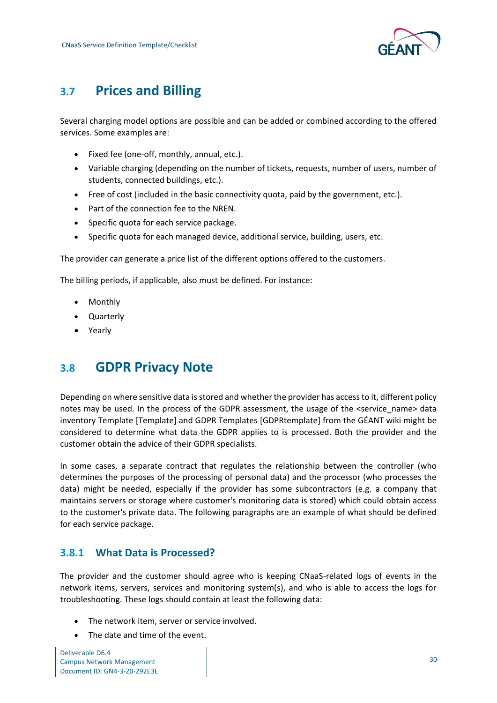

# <span id="page-32-0"></span>**3.7 Prices and Billing**

Several charging model options are possible and can be added or combined according to the offered services. Some examples are:

- Fixed fee (one-off, monthly, annual, etc.).
- Variable charging (depending on the number of tickets, requests, number of users, number of students, connected buildings, etc.).
- Free of cost (included in the basic connectivity quota, paid by the government, etc.).
- Part of the connection fee to the NREN.
- Specific quota for each service package.
- Specific quota for each managed device, additional service, building, users, etc.

The provider can generate a price list of the different options offered to the customers.

The billing periods, if applicable, also must be defined. For instance:

- Monthly
- Quarterly
- Yearly

## <span id="page-32-1"></span>**3.8 GDPR Privacy Note**

Depending on where sensitive data is stored and whether the provider has access to it, different policy notes may be used. In the process of the GDPR assessment, the usage of the <service\_name> data inventory Template [Template] and GDPR Templates [GDPRtemplate] from the GÉANT wiki might be considered to determine what data the GDPR applies to is processed. Both the provider and the customer obtain the advice of their GDPR specialists.

In some cases, a separate contract that regulates the relationship between the controller (who determines the purposes of the processing of personal data) and the processor (who processes the data) might be needed, especially if the provider has some subcontractors (e.g. a company that maintains servers or storage where customer's monitoring data is stored) which could obtain access to the customer's private data. The following paragraphs are an example of what should be defined for each service package.

## <span id="page-32-2"></span>**3.8.1 What Data is Processed?**

The provider and the customer should agree who is keeping CNaaS-related logs of events in the network items, servers, services and monitoring system(s), and who is able to access the logs for troubleshooting. These logs should contain at least the following data:

- The network item, server or service involved.
- The date and time of the event.

| Deliverable D6.4                 |
|----------------------------------|
| <b>Campus Network Management</b> |
| Document ID: GN4-3-20-292E3E     |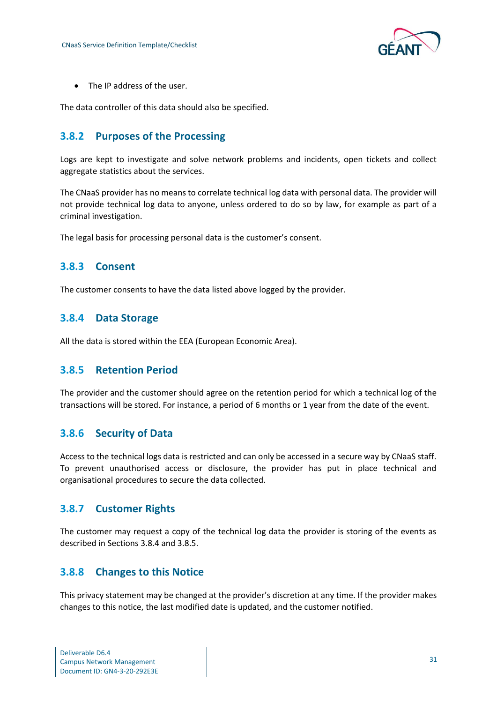

• The IP address of the user.

The data controller of this data should also be specified.

### <span id="page-33-0"></span>**3.8.2 Purposes of the Processing**

Logs are kept to investigate and solve network problems and incidents, open tickets and collect aggregate statistics about the services.

The CNaaS provider has no means to correlate technical log data with personal data. The provider will not provide technical log data to anyone, unless ordered to do so by law, for example as part of a criminal investigation.

The legal basis for processing personal data is the customer's consent.

### <span id="page-33-1"></span>**3.8.3 Consent**

The customer consents to have the data listed above logged by the provider.

### <span id="page-33-2"></span>**3.8.4 Data Storage**

All the data is stored within the EEA (European Economic Area).

### <span id="page-33-3"></span>**3.8.5 Retention Period**

The provider and the customer should agree on the retention period for which a technical log of the transactions will be stored. For instance, a period of 6 months or 1 year from the date of the event.

### <span id="page-33-4"></span>**3.8.6 Security of Data**

Access to the technical logs data is restricted and can only be accessed in a secure way by CNaaS staff. To prevent unauthorised access or disclosure, the provider has put in place technical and organisational procedures to secure the data collected.

### <span id="page-33-5"></span>**3.8.7 Customer Rights**

The customer may request a copy of the technical log data the provider is storing of the events as described in Sections 3.8.4 and 3.8.5.

### <span id="page-33-6"></span>**3.8.8 Changes to this Notice**

This privacy statement may be changed at the provider's discretion at any time. If the provider makes changes to this notice, the last modified date is updated, and the customer notified.

| Deliverable D6.4                 |  |
|----------------------------------|--|
| <b>Campus Network Management</b> |  |
| Document ID: GN4-3-20-292E3E     |  |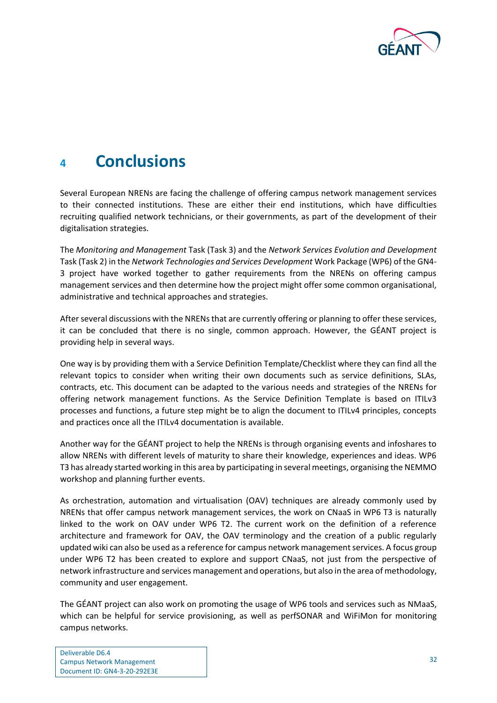

# <span id="page-34-0"></span>**<sup>4</sup> Conclusions**

Several European NRENs are facing the challenge of offering campus network management services to their connected institutions. These are either their end institutions, which have difficulties recruiting qualified network technicians, or their governments, as part of the development of their digitalisation strategies.

The *Monitoring and Management* Task (Task 3) and the *Network Services Evolution and Development* Task (Task 2) in the *Network Technologies and Services Development* Work Package (WP6) of the GN4- 3 project have worked together to gather requirements from the NRENs on offering campus management services and then determine how the project might offer some common organisational, administrative and technical approaches and strategies.

After several discussions with the NRENs that are currently offering or planning to offer these services, it can be concluded that there is no single, common approach. However, the GÉANT project is providing help in several ways.

One way is by providing them with a Service Definition Template/Checklist where they can find all the relevant topics to consider when writing their own documents such as service definitions, SLAs, contracts, etc. This document can be adapted to the various needs and strategies of the NRENs for offering network management functions. As the Service Definition Template is based on ITILv3 processes and functions, a future step might be to align the document to ITILv4 principles, concepts and practices once all the ITILv4 documentation is available.

Another way for the GÉANT project to help the NRENs is through organising events and infoshares to allow NRENs with different levels of maturity to share their knowledge, experiences and ideas. WP6 T3 has already started working in this area by participating in several meetings, organising the NEMMO workshop and planning further events.

As orchestration, automation and virtualisation (OAV) techniques are already commonly used by NRENs that offer campus network management services, the work on CNaaS in WP6 T3 is naturally linked to the work on OAV under WP6 T2. The current work on the definition of a reference architecture and framework for OAV, the OAV terminology and the creation of a public regularly updated wiki can also be used as a reference for campus network management services. A focus group under WP6 T2 has been created to explore and support CNaaS, not just from the perspective of network infrastructure and services management and operations, but also in the area of methodology, community and user engagement.

The GÉANT project can also work on promoting the usage of WP6 tools and services such as NMaaS, which can be helpful for service provisioning, as well as perfSONAR and WiFiMon for monitoring campus networks.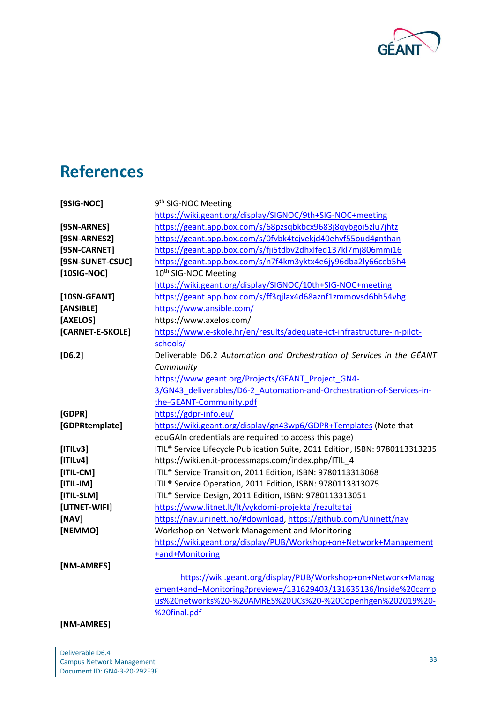

# <span id="page-35-0"></span>**References**

| [9SIG-NOC]        | 9 <sup>th</sup> SIG-NOC Meeting                                                          |
|-------------------|------------------------------------------------------------------------------------------|
|                   | https://wiki.geant.org/display/SIGNOC/9th+SIG-NOC+meeting                                |
| [9SN-ARNES]       | https://geant.app.box.com/s/68pzsqbkbcx9683j8qybgoi5zlu7jhtz                             |
| [9SN-ARNES2]      | https://geant.app.box.com/s/0fvbk4tcjvekjd40ehvf55oud4gnthan                             |
| [9SN-CARNET]      | https://geant.app.box.com/s/fji5tdbv2dhxlfed137kl7mj806mmi16                             |
| [9SN-SUNET-CSUC]  | https://geant.app.box.com/s/n7f4km3yktx4e6jy96dba2ly66ceb5h4                             |
| $[10SIG-NOC]$     | 10 <sup>th</sup> SIG-NOC Meeting                                                         |
|                   | https://wiki.geant.org/display/SIGNOC/10th+SIG-NOC+meeting                               |
| [10SN-GEANT]      | https://geant.app.box.com/s/ff3qjlax4d68aznf1zmmovsd6bh54vhg                             |
| [ANSIBLE]         | https://www.ansible.com/                                                                 |
| [AXELOS]          | https://www.axelos.com/                                                                  |
| [CARNET-E-SKOLE]  | https://www.e-skole.hr/en/results/adequate-ict-infrastructure-in-pilot-                  |
|                   | schools/                                                                                 |
| $[D6.2]$          | Deliverable D6.2 Automation and Orchestration of Services in the GÉANT                   |
|                   | Community                                                                                |
|                   | https://www.geant.org/Projects/GEANT_Project_GN4-                                        |
|                   | 3/GN43 deliverables/D6-2 Automation-and-Orchestration-of-Services-in-                    |
|                   | the-GEANT-Community.pdf                                                                  |
| [GDPR]            | https://gdpr-info.eu/                                                                    |
| [GDPRtemplate]    | https://wiki.geant.org/display/gn43wp6/GDPR+Templates (Note that                         |
|                   | eduGAIn credentials are required to access this page)                                    |
| [ TILV3]          | ITIL <sup>®</sup> Service Lifecycle Publication Suite, 2011 Edition, ISBN: 9780113313235 |
| [ T Lv4]          | https://wiki.en.it-processmaps.com/index.php/ITIL_4                                      |
| $[ITIL-CM]$       | ITIL <sup>®</sup> Service Transition, 2011 Edition, ISBN: 9780113313068                  |
| $[ITIL-IM]$       | ITIL <sup>®</sup> Service Operation, 2011 Edition, ISBN: 9780113313075                   |
| [ITIL-SLM]        | ITIL <sup>®</sup> Service Design, 2011 Edition, ISBN: 9780113313051                      |
| [LITNET-WIFI]     | https://www.litnet.lt/lt/vykdomi-projektai/rezultatai                                    |
| [NAV]             | https://nav.uninett.no/#download, https://github.com/Uninett/nav                         |
| [NEMMO]           | Workshop on Network Management and Monitoring                                            |
|                   | https://wiki.geant.org/display/PUB/Workshop+on+Network+Management                        |
|                   | +and+Monitoring                                                                          |
| <b>INM-AMRESI</b> |                                                                                          |
|                   | https://wiki.geant.org/display/PUB/Workshop+on+Network+Manag                             |
|                   | ement+and+Monitoring?preview=/131629403/131635136/Inside%20camp                          |
|                   | us%20networks%20-%20AMRES%20UCs%20-%20Copenhgen%202019%20-                               |
|                   | %20final.pdf                                                                             |
| [NM-AMRES]        |                                                                                          |
|                   |                                                                                          |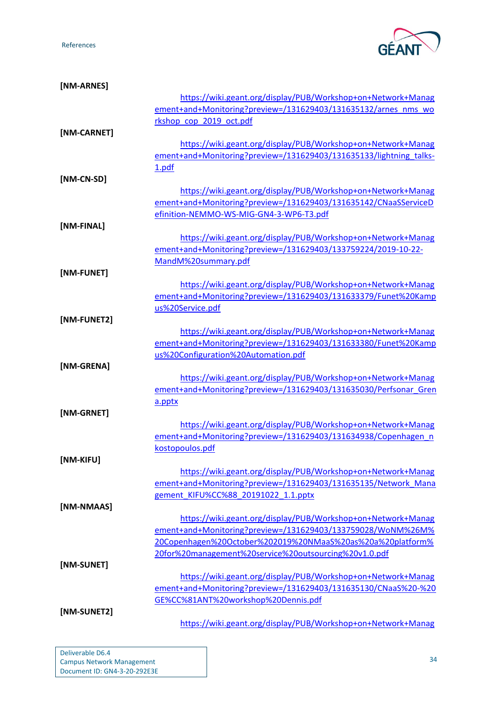References



| [NM-ARNES]  |                                                                    |
|-------------|--------------------------------------------------------------------|
|             | https://wiki.geant.org/display/PUB/Workshop+on+Network+Manag       |
|             | ement+and+Monitoring?preview=/131629403/131635132/arnes_nms_wo     |
|             | rkshop_cop_2019_oct.pdf                                            |
| [NM-CARNET] |                                                                    |
|             | https://wiki.geant.org/display/PUB/Workshop+on+Network+Manag       |
|             | ement+and+Monitoring?preview=/131629403/131635133/lightning_talks- |
|             | 1.pdf                                                              |
| [NM-CN-SD]  |                                                                    |
|             | https://wiki.geant.org/display/PUB/Workshop+on+Network+Manag       |
|             | ement+and+Monitoring?preview=/131629403/131635142/CNaaSServiceD    |
|             | efinition-NEMMO-WS-MIG-GN4-3-WP6-T3.pdf                            |
| [NM-FINAL]  |                                                                    |
|             | https://wiki.geant.org/display/PUB/Workshop+on+Network+Manag       |
|             | ement+and+Monitoring?preview=/131629403/133759224/2019-10-22-      |
|             | MandM%20summary.pdf                                                |
| [NM-FUNET]  |                                                                    |
|             | https://wiki.geant.org/display/PUB/Workshop+on+Network+Manag       |
|             | ement+and+Monitoring?preview=/131629403/131633379/Funet%20Kamp     |
|             | us%20Service.pdf                                                   |
| [NM-FUNET2] |                                                                    |
|             | https://wiki.geant.org/display/PUB/Workshop+on+Network+Manag       |
|             | ement+and+Monitoring?preview=/131629403/131633380/Funet%20Kamp     |
|             | us%20Configuration%20Automation.pdf                                |
| [NM-GRENA]  |                                                                    |
|             | https://wiki.geant.org/display/PUB/Workshop+on+Network+Manag       |
|             | ement+and+Monitoring?preview=/131629403/131635030/Perfsonar Gren   |
|             | a.pptx                                                             |
| [NM-GRNET]  |                                                                    |
|             | https://wiki.geant.org/display/PUB/Workshop+on+Network+Manag       |
|             | ement+and+Monitoring?preview=/131629403/131634938/Copenhagen n     |
|             | kostopoulos.pdf                                                    |
| [NM-KIFU]   |                                                                    |
|             | https://wiki.geant.org/display/PUB/Workshop+on+Network+Manag       |
|             | ement+and+Monitoring?preview=/131629403/131635135/Network Mana     |
|             | gement KIFU%CC%88 20191022 1.1.pptx                                |
| [NM-NMAAS]  |                                                                    |
|             |                                                                    |
|             | https://wiki.geant.org/display/PUB/Workshop+on+Network+Manag       |
|             | ement+and+Monitoring?preview=/131629403/133759028/WoNM%26M%        |
|             | 20Copenhagen%20October%202019%20NMaaS%20as%20a%20platform%         |
|             | 20for%20management%20service%20outsourcing%20v1.0.pdf              |
| [NM-SUNET]  |                                                                    |
|             | https://wiki.geant.org/display/PUB/Workshop+on+Network+Manag       |
|             | ement+and+Monitoring?preview=/131629403/131635130/CNaaS%20-%20     |
|             | GE%CC%81ANT%20workshop%20Dennis.pdf                                |
| [NM-SUNET2] |                                                                    |
|             | https://wiki.geant.org/display/PUB/Workshop+on+Network+Manag       |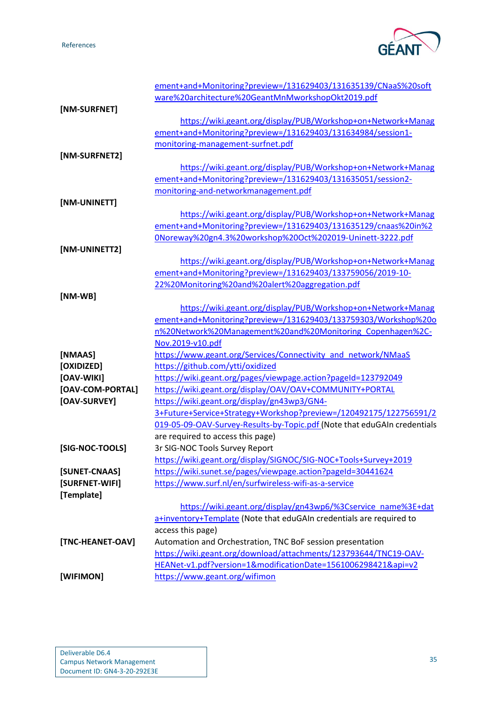References



|                  | ement+and+Monitoring?preview=/131629403/131635139/CNaaS%20soft           |
|------------------|--------------------------------------------------------------------------|
|                  | ware%20architecture%20GeantMnMworkshopOkt2019.pdf                        |
| [NM-SURFNET]     |                                                                          |
|                  | https://wiki.geant.org/display/PUB/Workshop+on+Network+Manag             |
|                  | ement+and+Monitoring?preview=/131629403/131634984/session1-              |
|                  | monitoring-management-surfnet.pdf                                        |
| [NM-SURFNET2]    |                                                                          |
|                  | https://wiki.geant.org/display/PUB/Workshop+on+Network+Manag             |
|                  | ement+and+Monitoring?preview=/131629403/131635051/session2-              |
|                  | monitoring-and-networkmanagement.pdf                                     |
| [NM-UNINETT]     |                                                                          |
|                  | https://wiki.geant.org/display/PUB/Workshop+on+Network+Manag             |
|                  | ement+and+Monitoring?preview=/131629403/131635129/cnaas%20in%2           |
|                  | 0Noreway%20gn4.3%20workshop%20Oct%202019-Uninett-3222.pdf                |
| [NM-UNINETT2]    |                                                                          |
|                  | https://wiki.geant.org/display/PUB/Workshop+on+Network+Manag             |
|                  | ement+and+Monitoring?preview=/131629403/133759056/2019-10-               |
|                  | 22%20Monitoring%20and%20alert%20aggregation.pdf                          |
| $[NM-WB]$        |                                                                          |
|                  | https://wiki.geant.org/display/PUB/Workshop+on+Network+Manag             |
|                  | ement+and+Monitoring?preview=/131629403/133759303/Workshop%20o           |
|                  | n%20Network%20Management%20and%20Monitoring_Copenhagen%2C-               |
|                  | Nov.2019-v10.pdf                                                         |
| [NMAAS]          | https://www.geant.org/Services/Connectivity_and_network/NMaaS            |
| [OXIDIZED]       | https://github.com/ytti/oxidized                                         |
| [OAV-WIKI]       | https://wiki.geant.org/pages/viewpage.action?pageId=123792049            |
| [OAV-COM-PORTAL] | https://wiki.geant.org/display/OAV/OAV+COMMUNITY+PORTAL                  |
| [OAV-SURVEY]     | https://wiki.geant.org/display/gn43wp3/GN4-                              |
|                  | 3+Future+Service+Strategy+Workshop?preview=/120492175/122756591/2        |
|                  | 019-05-09-OAV-Survey-Results-by-Topic.pdf (Note that eduGAIn credentials |
|                  | are required to access this page)                                        |
| [SIG-NOC-TOOLS]  | 3r SIG-NOC Tools Survey Report                                           |
|                  | https://wiki.geant.org/display/SIGNOC/SIG-NOC+Tools+Survey+2019          |
| [SUNET-CNAAS]    | https://wiki.sunet.se/pages/viewpage.action?pageId=30441624              |
| [SURFNET-WIFI]   | https://www.surf.nl/en/surfwireless-wifi-as-a-service                    |
| [Template]       |                                                                          |
|                  | https://wiki.geant.org/display/gn43wp6/%3Cservice name%3E+dat            |
|                  | a+inventory+Template (Note that eduGAIn credentials are required to      |
|                  | access this page)                                                        |
| [TNC-HEANET-OAV] | Automation and Orchestration, TNC BoF session presentation               |
|                  | https://wiki.geant.org/download/attachments/123793644/TNC19-OAV-         |
|                  | HEANet-v1.pdf?version=1&modificationDate=1561006298421&api=v2            |
| [WIFIMON]        | https://www.geant.org/wifimon                                            |
|                  |                                                                          |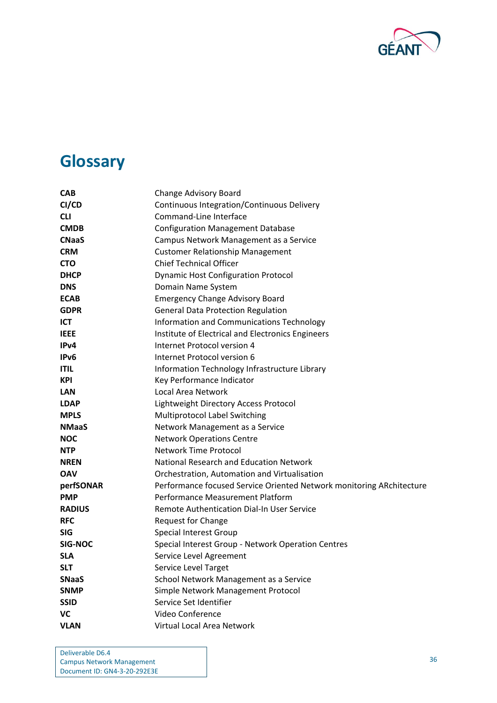

# <span id="page-38-0"></span>**Glossary**

| <b>CAB</b>        | <b>Change Advisory Board</b>                                         |
|-------------------|----------------------------------------------------------------------|
| CI/CD             | Continuous Integration/Continuous Delivery                           |
| <b>CLI</b>        | Command-Line Interface                                               |
| <b>CMDB</b>       | <b>Configuration Management Database</b>                             |
| <b>CNaaS</b>      | Campus Network Management as a Service                               |
| <b>CRM</b>        | <b>Customer Relationship Management</b>                              |
| <b>CTO</b>        | <b>Chief Technical Officer</b>                                       |
| <b>DHCP</b>       | <b>Dynamic Host Configuration Protocol</b>                           |
| <b>DNS</b>        | Domain Name System                                                   |
| <b>ECAB</b>       | <b>Emergency Change Advisory Board</b>                               |
| <b>GDPR</b>       | <b>General Data Protection Regulation</b>                            |
| <b>ICT</b>        | Information and Communications Technology                            |
| <b>IEEE</b>       | Institute of Electrical and Electronics Engineers                    |
| IP <sub>v</sub> 4 | Internet Protocol version 4                                          |
| IP <sub>v6</sub>  | Internet Protocol version 6                                          |
| <b>ITIL</b>       | Information Technology Infrastructure Library                        |
| <b>KPI</b>        | Key Performance Indicator                                            |
| <b>LAN</b>        | Local Area Network                                                   |
| <b>LDAP</b>       | Lightweight Directory Access Protocol                                |
| <b>MPLS</b>       | Multiprotocol Label Switching                                        |
| <b>NMaaS</b>      | Network Management as a Service                                      |
| <b>NOC</b>        | <b>Network Operations Centre</b>                                     |
| <b>NTP</b>        | <b>Network Time Protocol</b>                                         |
| <b>NREN</b>       | National Research and Education Network                              |
| <b>OAV</b>        | Orchestration, Automation and Virtualisation                         |
| perfSONAR         | Performance focused Service Oriented Network monitoring ARchitecture |
| <b>PMP</b>        | Performance Measurement Platform                                     |
| <b>RADIUS</b>     | Remote Authentication Dial-In User Service                           |
| <b>RFC</b>        | <b>Request for Change</b>                                            |
| <b>SIG</b>        | Special Interest Group                                               |
| <b>SIG-NOC</b>    | Special Interest Group - Network Operation Centres                   |
| <b>SLA</b>        | Service Level Agreement                                              |
| <b>SLT</b>        | Service Level Target                                                 |
| <b>SNaaS</b>      | School Network Management as a Service                               |
| <b>SNMP</b>       | Simple Network Management Protocol                                   |
| <b>SSID</b>       | Service Set Identifier                                               |
| VC                | Video Conference                                                     |
| <b>VLAN</b>       | Virtual Local Area Network                                           |

Deliverable D6.4 Campus Network Management Document ID: GN4-3-20-292E3E